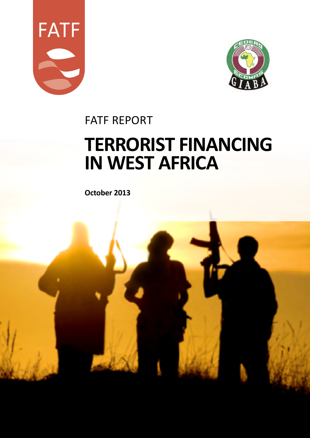



fatf REPORT

# **TERRORIST FINANCING IN WEST AFRICA**

**October 2013**

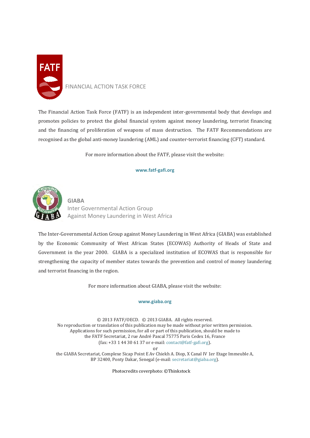

## FINANCIAL ACTION TASK FORCE

The Financial Action Task Force (FATF) is an independent inter-governmental body that develops and promotes policies to protect the global financial system against money laundering, terrorist financing and the financing of proliferation of weapons of mass destruction. The FATF Recommendations are recognised as the global anti-money laundering (AML) and counter-terrorist financing (CFT) standard.

For more information about the FATF, please visit the website:

#### **www.fatf-gafi.org**



**GIABA** Inter Governmental Action Group Against Money Laundering in West Africa

The Inter-Governmental Action Group against Money Laundering in West Africa (GIABA) was established by the Economic Community of West African States (ECOWAS) Authority of Heads of State and Government in the year 2000. GIABA is a specialized institution of ECOWAS that is responsible for strengthening the capacity of member states towards the prevention and control of money laundering and terrorist financing in the region.

For more information about GIABA, please visit the website:

#### **[www.giaba.org](http://www.giaba.org/)**

© 2013 FATF/OECD. © 2013 GIABA. All rights reserved. No reproduction or translation of this publication may be made without prior written permission. Applications for such permission, for all or part of this publication, should be made to the FATF Secretariat, 2 rue André Pascal 75775 Paris Cedex 16, France (fax: +33 1 44 30 61 37 or e-mail[: contact@fatf-gafi.org\)](mailto:contact@fatf-gafi.org). or

the GIABA Secretariat, Complexe Sicap Point E Av Chiekh A. Diop, X Canal IV 1er Etage Immeuble A, BP 32400, Ponty Dakar, Senegal (e-mail[: secretariat@giaba.org\)](mailto:secretariat@giaba.org).

Photocredits coverphoto: ©Thinkstock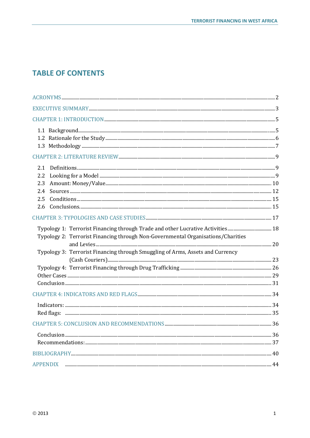# **TABLE OF CONTENTS**

| 2.1<br>2.2<br>2.3<br>2.4<br>2.5<br>2.6                                                                                                                                                                                                                |  |
|-------------------------------------------------------------------------------------------------------------------------------------------------------------------------------------------------------------------------------------------------------|--|
|                                                                                                                                                                                                                                                       |  |
| Typology 1: Terrorist Financing through Trade and other Lucrative Activities 18<br>Typology 2: Terrorist Financing through Non-Governmental Organisations/Charities<br>Typology 3: Terrorist Financing through Smuggling of Arms, Assets and Currency |  |
|                                                                                                                                                                                                                                                       |  |
|                                                                                                                                                                                                                                                       |  |
|                                                                                                                                                                                                                                                       |  |
|                                                                                                                                                                                                                                                       |  |
|                                                                                                                                                                                                                                                       |  |
|                                                                                                                                                                                                                                                       |  |
| <b>APPENDIX</b>                                                                                                                                                                                                                                       |  |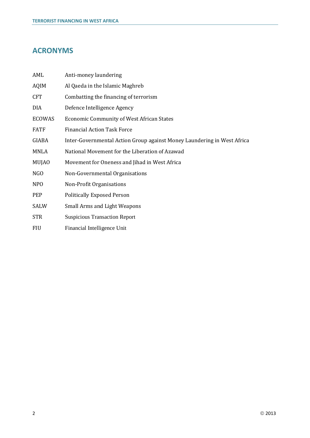# <span id="page-3-0"></span>**ACRONYMS**

| AML              | Anti-money laundering                                                   |
|------------------|-------------------------------------------------------------------------|
| <b>AQIM</b>      | Al Qaeda in the Islamic Maghreb                                         |
| <b>CFT</b>       | Combatting the financing of terrorism                                   |
| DIA              | Defence Intelligence Agency                                             |
| <b>ECOWAS</b>    | <b>Economic Community of West African States</b>                        |
| <b>FATF</b>      | <b>Financial Action Task Force</b>                                      |
| GIABA            | Inter-Governmental Action Group against Money Laundering in West Africa |
| MNLA             | National Movement for the Liberation of Azawad                          |
| <b>MUJAO</b>     | Movement for Oneness and Jihad in West Africa                           |
| NGO              | Non-Governmental Organisations                                          |
| N <sub>P</sub> O | Non-Profit Organisations                                                |
| <b>PEP</b>       | <b>Politically Exposed Person</b>                                       |
| SALW             | <b>Small Arms and Light Weapons</b>                                     |
| <b>STR</b>       | <b>Suspicious Transaction Report</b>                                    |
| <b>FIU</b>       | Financial Intelligence Unit                                             |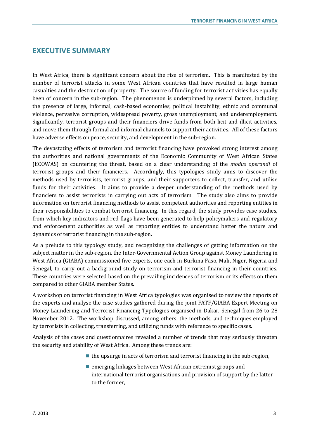# <span id="page-4-0"></span>**EXECUTIVE SUMMARY**

In West Africa, there is significant concern about the rise of terrorism. This is manifested by the number of terrorist attacks in some West African countries that have resulted in large human casualties and the destruction of property. The source of funding for terrorist activities has equally been of concern in the sub-region. The phenomenon is underpinned by several factors, including the presence of large, informal, cash-based economies, political instability, ethnic and communal violence, pervasive corruption, widespread poverty, gross unemployment, and underemployment. Significantly, terrorist groups and their financiers drive funds from both licit and illicit activities, and move them through formal and informal channels to support their activities. All of these factors have adverse effects on peace, security, and development in the sub-region.

The devastating effects of terrorism and terrorist financing have provoked strong interest among the authorities and national governments of the Economic Community of West African States (ECOWAS) on countering the threat, based on a clear understanding of the *modus operandi* of terrorist groups and their financiers. Accordingly, this typologies study aims to discover the methods used by terrorists, terrorist groups, and their supporters to collect, transfer, and utilise funds for their activities. It aims to provide a deeper understanding of the methods used by financiers to assist terrorists in carrying out acts of terrorism. The study also aims to provide information on terrorist financing methods to assist competent authorities and reporting entities in their responsibilities to combat terrorist financing. In this regard, the study provides case studies, from which key indicators and red flags have been generated to help policymakers and regulatory and enforcement authorities as well as reporting entities to understand better the nature and dynamics of terrorist financing in the sub-region.

As a prelude to this typology study, and recognizing the challenges of getting information on the subject matter in the sub-region, the Inter-Governmental Action Group against Money Laundering in West Africa (GIABA) commissioned five experts, one each in Burkina Faso, Mali, Niger, Nigeria and Senegal, to carry out a background study on terrorism and terrorist financing in their countries. These countries were selected based on the prevailing incidences of terrorism or its effects on them compared to other GIABA member States.

A workshop on terrorist financing in West Africa typologies was organised to review the reports of the experts and analyse the case studies gathered during the joint FATF/GIABA Expert Meeting on Money Laundering and Terrorist Financing Typologies organised in Dakar, Senegal from 26 to 28 November 2012. The workshop discussed, among others, the methods, and techniques employed by terrorists in collecting, transferring, and utilizing funds with reference to specific cases.

Analysis of the cases and questionnaires revealed a number of trends that may seriously threaten the security and stability of West Africa. Among these trends are:

- $\blacksquare$  the upsurge in acts of terrorism and terrorist financing in the sub-region,
- **Example 3** emerging linkages between West African extremist groups and international terrorist organisations and provision of support by the latter to the former,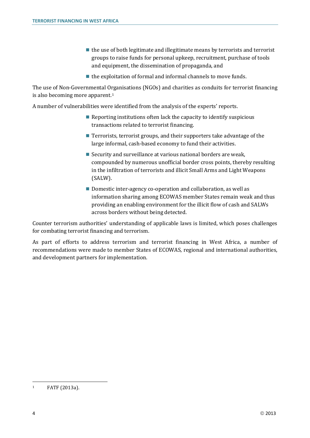- $\blacksquare$  the use of both legitimate and illegitimate means by terrorists and terrorist groups to raise funds for personal upkeep, recruitment, purchase of tools and equipment, the dissemination of propaganda, and
- $\blacksquare$  the exploitation of formal and informal channels to move funds.

The use of Non-Governmental Organisations (NGOs) and charities as conduits for terrorist financing is also becoming more apparent.[1](#page-5-0)

A number of vulnerabilities were identified from the analysis of the experts' reports.

- Reporting institutions often lack the capacity to identify suspicious transactions related to terrorist financing.
- Terrorists, terrorist groups, and their supporters take advantage of the large informal, cash-based economy to fund their activities.
- Security and surveillance at various national borders are weak. compounded by numerous unofficial border cross points, thereby resulting in the infiltration of terrorists and illicit Small Arms and Light Weapons (SALW).
- Domestic inter-agency co-operation and collaboration, as well as information sharing among ECOWAS member States remain weak and thus providing an enabling environment for the illicit flow of cash and SALWs across borders without being detected.

Counter terrorism authorities' understanding of applicable laws is limited, which poses challenges for combating terrorist financing and terrorism.

As part of efforts to address terrorism and terrorist financing in West Africa, a number of recommendations were made to member States of ECOWAS, regional and international authorities, and development partners for implementation.

<span id="page-5-0"></span><sup>1</sup> FATF (2013a).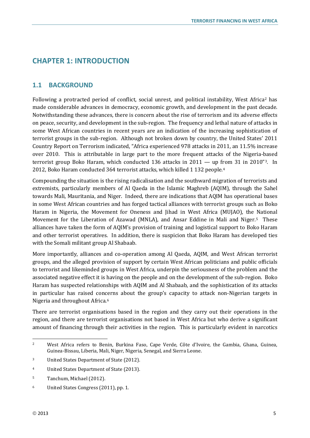# <span id="page-6-0"></span>**CHAPTER 1: INTRODUCTION**

## <span id="page-6-1"></span>**1.1 BACKGROUND**

Following a protracted period of conflict, social unrest, and political instability, West Africa[2](#page-6-2) has made considerable advances in democracy, economic growth, and development in the past decade. Notwithstanding these advances, there is concern about the rise of terrorism and its adverse effects on peace, security, and development in the sub-region. The frequency and lethal nature of attacks in some West African countries in recent years are an indication of the increasing sophistication of terrorist groups in the sub-region. Although not broken down by country, the United States' 2011 Country Report on Terrorism indicated, "Africa experienced 978 attacks in 2011, an 11.5% increase over 2010. This is attributable in large part to the more frequent attacks of the Nigeria-based ter[ro](#page-6-4)rist group Boko Haram, which conducted 1[3](#page-6-3)6 attacks in  $2011 -$  up from 31 in 2010"<sup>3</sup>. In 2012, Boko Haram conducted 364 terrorist attacks, which killed 1 132 people.4

Compounding the situation is the rising radicalisation and the southward migration of terrorists and extremists, particularly members of Al Qaeda in the Islamic Maghreb (AQIM), through the Sahel towards Mali, Mauritania, and Niger. Indeed, there are indications that AQIM has operational bases in some West African countries and has forged tactical alliances with terrorist groups such as Boko Haram in Nigeria, the Movement for Oneness and Jihad in West Africa (MUJAO), the National Movement for the Liberation of Azawad (MNLA), and Ansar Eddine in Mali and Niger.[5](#page-6-5) These alliances have taken the form of AQIM's provision of training and logistical support to Boko Haram and other terrorist operatives. In addition, there is suspicion that Boko Haram has developed ties with the Somali militant group Al Shabaab.

More importantly, alliances and co-operation among Al Qaeda, AQIM, and West African terrorist groups, and the alleged provision of support by certain West African politicians and public officials to terrorist and likeminded groups in West Africa, underpin the seriousness of the problem and the associated negative effect it is having on the people and on the development of the sub-region. Boko Haram has suspected relationships with AQIM and Al Shabaab, and the sophistication of its attacks in particular has raised concerns about the group's capacity to attack non-Nigerian targets in Nigeria and throughout Africa.[6](#page-6-6) 

There are terrorist organisations based in the region and they carry out their operations in the region, and there are terrorist organisations not based in West Africa but who derive a significant amount of financing through their activities in the region. This is particularly evident in narcotics

<span id="page-6-2"></span><sup>2</sup> West Africa refers to Benin, Burkina Faso, Cape Verde, Côte d'Ivoire, the Gambia, Ghana, Guinea, Guinea-Bissau, Liberia, Mali, Niger, Nigeria, Senegal, and Sierra Leone.

<span id="page-6-3"></span><sup>3</sup> United States Department of State (2012).

<span id="page-6-4"></span><sup>4</sup> United States Department of State (2013).

<span id="page-6-5"></span><sup>5</sup> Tanchum, Michael (2012).

<span id="page-6-6"></span><sup>6</sup> United States Congress (2011), pp. 1.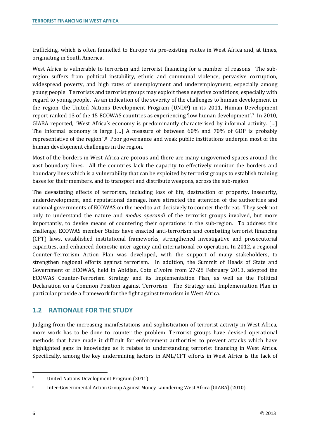trafficking, which is often funnelled to Europe via pre-existing routes in West Africa and, at times, originating in South America.

West Africa is vulnerable to terrorism and terrorist financing for a number of reasons. The subregion suffers from political instability, ethnic and communal violence, pervasive corruption, widespread poverty, and high rates of unemployment and underemployment, especially among young people. Terrorists and terrorist groups may exploit these negative conditions, especially with regard to young people. As an indication of the severity of the challenges to human development in the region, the United Nations Development Program (UNDP) in its 2011, Human Development report ranked 13 of the 15 ECOWAS countries as experiencing 'low human development'.[7](#page-7-1) In 2010, GIABA reported, "West Africa's economy is predominantly characterised by informal activity. […] The informal economy is large. […] A measure of between 60% and 70% of GDP is probably representative of the region".[8](#page-7-2) Poor governance and weak public institutions underpin most of the human development challenges in the region.

Most of the borders in West Africa are porous and there are many ungoverned spaces around the vast boundary lines. All the countries lack the capacity to effectively monitor the borders and boundary lines which is a vulnerability that can be exploited by terrorist groups to establish training bases for their members, and to transport and distribute weapons, across the sub-region.

The devastating effects of terrorism, including loss of life, destruction of property, insecurity, underdevelopment, and reputational damage, have attracted the attention of the authorities and national governments of ECOWAS on the need to act decisively to counter the threat. They seek not only to understand the nature and *modus operandi* of the terrorist groups involved, but more importantly, to devise means of countering their operations in the sub-region. To address this challenge, ECOWAS member States have enacted anti-terrorism and combating terrorist financing (CFT) laws, established institutional frameworks, strengthened investigative and prosecutorial capacities, and enhanced domestic inter-agency and international co-operation. In 2012, a regional Counter-Terrorism Action Plan was developed, with the support of many stakeholders, to strengthen regional efforts against terrorism. In addition, the Summit of Heads of State and Government of ECOWAS, held in Abidjan, Cote d'Ivoire from 27-28 February 2013, adopted the ECOWAS Counter-Terrorism Strategy and its Implementation Plan, as well as the Political Declaration on a Common Position against Terrorism. The Strategy and Implementation Plan in particular provide a framework for the fight against terrorism in West Africa.

# <span id="page-7-0"></span>**1.2 RATIONALE FOR THE STUDY**

Judging from the increasing manifestations and sophistication of terrorist activity in West Africa, more work has to be done to counter the problem. Terrorist groups have devised operational methods that have made it difficult for enforcement authorities to prevent attacks which have highlighted gaps in knowledge as it relates to understanding terrorist financing in West Africa. Specifically, among the key undermining factors in AML/CFT efforts in West Africa is the lack of

 $\ddot{\phantom{a}}$ 

<span id="page-7-1"></span><sup>7</sup> United Nations Development Program (2011).

<span id="page-7-2"></span><sup>8</sup> Inter-Governmental Action Group Against Money Laundering West Africa [GIABA] (2010).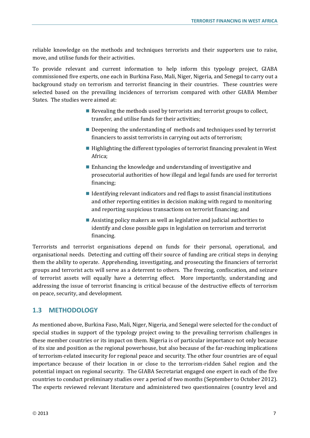reliable knowledge on the methods and techniques terrorists and their supporters use to raise, move, and utilise funds for their activities.

To provide relevant and current information to help inform this typology project, GIABA commissioned five experts, one each in Burkina Faso, Mali, Niger, Nigeria, and Senegal to carry out a background study on terrorism and terrorist financing in their countries. These countries were selected based on the prevailing incidences of terrorism compared with other GIABA Member States. The studies were aimed at:

- Revealing the methods used by terrorists and terrorist groups to collect, transfer, and utilise funds for their activities;
- Deepening the understanding of methods and techniques used by terrorist financiers to assist terrorists in carrying out acts of terrorism;
- **Highlighting the different typologies of terrorist financing prevalent in West** Africa;
- Enhancing the knowledge and understanding of investigative and prosecutorial authorities of how illegal and legal funds are used for terrorist financing;
- $\blacksquare$  Identifying relevant indicators and red flags to assist financial institutions and other reporting entities in decision making with regard to monitoring and reporting suspicious transactions on terrorist financing; and
- Assisting policy makers as well as legislative and judicial authorities to identify and close possible gaps in legislation on terrorism and terrorist financing.

Terrorists and terrorist organisations depend on funds for their personal, operational, and organisational needs. Detecting and cutting off their source of funding are critical steps in denying them the ability to operate. Apprehending, investigating, and prosecuting the financiers of terrorist groups and terrorist acts will serve as a deterrent to others. The freezing, confiscation, and seizure of terrorist assets will equally have a deterring effect. More importantly, understanding and addressing the issue of terrorist financing is critical because of the destructive effects of terrorism on peace, security, and development.

# <span id="page-8-0"></span>**1.3 METHODOLOGY**

As mentioned above, Burkina Faso, Mali, Niger, Nigeria, and Senegal were selected for the conduct of special studies in support of the typology project owing to the prevailing terrorism challenges in these member countries or its impact on them. Nigeria is of particular importance not only because of its size and position as the regional powerhouse, but also because of the far-reaching implications of terrorism-related insecurity for regional peace and security. The other four countries are of equal importance because of their location in or close to the terrorism-ridden Sahel region and the potential impact on regional security. The GIABA Secretariat engaged one expert in each of the five countries to conduct preliminary studies over a period of two months (September to October 2012). The experts reviewed relevant literature and administered two questionnaires (country level and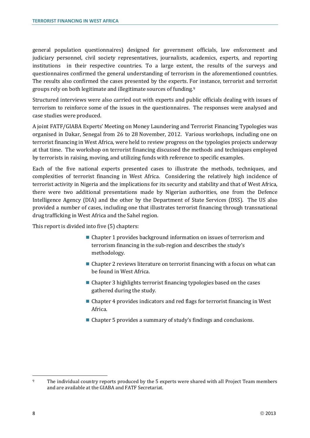general population questionnaires) designed for government officials, law enforcement and judiciary personnel, civil society representatives, journalists, academics, experts, and reporting institutions in their respective countries. To a large extent, the results of the surveys and questionnaires confirmed the general understanding of terrorism in the aforementioned countries. The results also confirmed the cases presented by the experts. For instance, terrorist and terrorist groups rely on both legitimate and illegitimate sources of funding.[9](#page-9-0)

Structured interviews were also carried out with experts and public officials dealing with issues of terrorism to reinforce some of the issues in the questionnaires. The responses were analysed and case studies were produced.

A joint FATF/GIABA Experts' Meeting on Money Laundering and Terrorist Financing Typologies was organised in Dakar, Senegal from 26 to 28 November, 2012. Various workshops, including one on terrorist financing in West Africa, were held to review progress on the typologies projects underway at that time. The workshop on terrorist financing discussed the methods and techniques employed by terrorists in raising, moving, and utilizing funds with reference to specific examples.

Each of the five national experts presented cases to illustrate the methods, techniques, and complexities of terrorist financing in West Africa. Considering the relatively high incidence of terrorist activity in Nigeria and the implications for its security and stability and that of West Africa, there were two additional presentations made by Nigerian authorities, one from the Defence Intelligence Agency (DIA) and the other by the Department of State Services (DSS). The US also provided a number of cases, including one that illustrates terrorist financing through transnational drug trafficking in West Africa and the Sahel region.

This report is divided into five (5) chapters:

- Chapter 1 provides background information on issues of terrorism and terrorism financing in the sub-region and describes the study's methodology.
- Chapter 2 reviews literature on terrorist financing with a focus on what can be found in West Africa.
- Chapter 3 highlights terrorist financing typologies based on the cases gathered during the study.
- Chapter 4 provides indicators and red flags for terrorist financing in West Africa.
- Chapter 5 provides a summary of study's findings and conclusions.

<span id="page-9-0"></span> $\ddot{\phantom{a}}$ <sup>9</sup> The individual country reports produced by the 5 experts were shared with all Project Team members and are available at the GIABA and FATF Secretariat.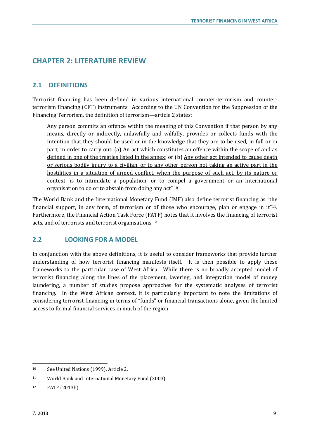# <span id="page-10-0"></span>**CHAPTER 2: LITERATURE REVIEW**

# <span id="page-10-1"></span>**2.1 DEFINITIONS**

Terrorist financing has been defined in various international counter-terrorism and counterterrorism financing (CFT) instruments. According to the UN Convention for the Suppression of the Financing Terrorism, the definition of terrorism—article 2 states:

Any person commits an offence within the meaning of this Convention if that person by any means, directly or indirectly, unlawfully and wilfully, provides or collects funds with the intention that they should be used or in the knowledge that they are to be used, in full or in part, in order to carry out: (a) An act which constitutes an offence within the scope of and as defined in one of the treaties listed in the annex; or (b) Any other act intended to cause death or serious bodily injury to a civilian, or to any other person not taking an active part in the hostilities in a situation of armed conflict, when the purpose of such act, by its nature or context, is to intimidate a population, or to co[mp](#page-10-3)el a government or an international organisation to do or to abstain from doing any act"<sup>10</sup>

The World Bank and the International Monetary Fund (IMF) also define terrorist financing as "the financial support, in any form, of terrorism or of those who encourage, plan or engage in  $it''$ <sup>11</sup>. Furthermore, the Financial Action Task Force (F[AT](#page-10-5)F) notes that it involves the financing of terrorist acts, and of terrorists and terrorist organisations.12

## <span id="page-10-2"></span>**2.2 LOOKING FOR A MODEL**

In conjunction with the above definitions, it is useful to consider frameworks that provide further understanding of how terrorist financing manifests itself. It is then possible to apply these frameworks to the particular case of West Africa. While there is no broadly accepted model of terrorist financing along the lines of the placement, layering, and integration model of money laundering, a number of studies propose approaches for the systematic analyses of terrorist financing. In the West African context, it is particularly important to note the limitations of considering terrorist financing in terms of "funds" or financial transactions alone, given the limited access to formal financial services in much of the region.

<span id="page-10-3"></span><sup>10</sup> See United Nations (1999), Article 2.

<span id="page-10-4"></span><sup>11</sup> World Bank and International Monetary Fund (2003).

<span id="page-10-5"></span><sup>12</sup> FATF (2013b).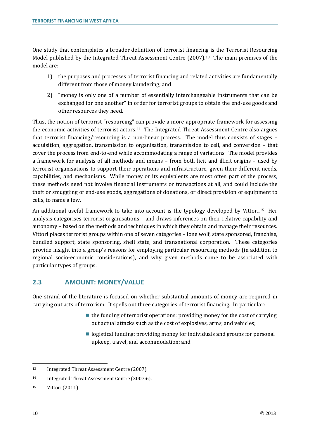One study that contemplates a broader definition of terrorist financing is the Terrorist Resourcing Model published by the Integrated Threat Assessment Centre (2007).<sup>[13](#page-11-1)</sup> The main premises of the model are:

- 1) the purposes and processes of terrorist financing and related activities are fundamentally different from those of money laundering; and
- 2) "money is only one of a number of essentially interchangeable instruments that can be exchanged for one another" in order for terrorist groups to obtain the end-use goods and other resources they need.

Thus, the notion of terrorist "resourcing" can provide a more appropriate framework for assessing the economic activities of terrorist actors.[14](#page-11-2) The Integrated Threat Assessment Centre also argues that terrorist financing/resourcing is a non-linear process. The model thus consists of stages – acquisition, aggregation, transmission to organisation, transmission to cell, and conversion – that cover the process from end-to-end while accommodating a range of variations. The model provides a framework for analysis of all methods and means – from both licit and illicit origins – used by terrorist organisations to support their operations and infrastructure, given their different needs, capabilities, and mechanisms. While money or its equivalents are most often part of the process, these methods need not involve financial instruments or transactions at all, and could include the theft or smuggling of end-use goods, aggregations of donations, or direct provision of equipment to cells, to name a few.

An additional useful framework to take into account is the typology developed by Vittori.[15](#page-11-3) Her analysis categorises terrorist organisations – and draws inferences on their relative capability and autonomy – based on the methods and techniques in which they obtain and manage their resources. Vittori places terrorist groups within one of seven categories – lone wolf, state sponsored, franchise, bundled support, state sponsoring, shell state, and transnational corporation. These categories provide insight into a group's reasons for employing particular resourcing methods (in addition to regional socio-economic considerations), and why given methods come to be associated with particular types of groups.

# <span id="page-11-0"></span>**2.3 AMOUNT: MONEY/VALUE**

One strand of the literature is focused on whether substantial amounts of money are required in carrying out acts of terrorism. It spells out three categories of terrorist financing. In particular:

- $\blacksquare$  the funding of terrorist operations: providing money for the cost of carrying out actual attacks such as the cost of explosives, arms, and vehicles;
- logistical funding: providing money for individuals and groups for personal upkeep, travel, and accommodation; and

<span id="page-11-1"></span> $\overline{a}$ 13 Integrated Threat Assessment Centre (2007).

<span id="page-11-2"></span><sup>14</sup> Integrated Threat Assessment Centre (2007:6).

<span id="page-11-3"></span><sup>15</sup> Vittori (2011).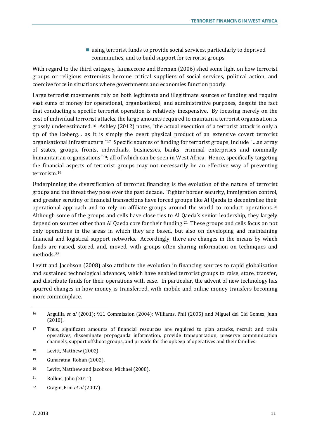using terrorist funds to provide social services, particularly to deprived communities, and to build support for terrorist groups.

With regard to the third category, Iannaccone and Berman (2006) shed some light on how terrorist groups or religious extremists become critical suppliers of social services, political action, and coercive force in situations where governments and economies function poorly.

Large terrorist movements rely on both legitimate and illegitimate sources of funding and require vast sums of money for operational, organisational, and administrative purposes, despite the fact that conducting a specific terrorist operation is relatively inexpensive. By focusing merely on the cost of individual terrorist attacks, the large amounts required to maintain a terrorist organisation is grossly underestimated.[16](#page-12-0) Ashley (2012) notes, "the actual execution of a terrorist attack is only a tip of the iceberg… as it is simply the overt physical product of an extensive covert terrorist organisational infrastructure."[17](#page-12-1) Specific sources of funding for terrorist groups, include "…an array of states, groups, fronts, individuals, businesses, banks, criminal enterprises and nominally humanitarian organisations<sup>"18</sup>; all of which can be seen in West Africa. Hence, specifically targeting the financial aspects of terrorist groups may not necessarily be an effective way of preventing terrorism.[19](#page-12-3)

Underpinning the diversification of terrorist financing is the evolution of the nature of terrorist groups and the threat they pose over the past decade. Tighter border security, immigration control, and greater scrutiny of financial transactions have forced groups like Al Qaeda to decentralise their operational approach and to rely on affiliate groups around the world to conduct operations.[20](#page-12-4) Although some of the groups and cells have close ties to Al Qaeda's senior leadership, they largely depend on sources other than Al Qaeda core for their funding.[21](#page-12-5) These groups and cells focus on not only operations in the areas in which they are based, but also on developing and maintaining financial and logistical support networks. Accordingly, there are changes in the means by which funds are raised, stored, and, moved, with groups often sharing information on techniques and methods.[22](#page-12-6)

Levitt and Jacobson (2008) also attribute the evolution in financing sources to rapid globalisation and sustained technological advances, which have enabled terrorist groups to raise, store, transfer, and distribute funds for their operations with ease. In particular, the advent of new technology has spurred changes in how money is transferred, with mobile and online money transfers becoming more commonplace.

- <span id="page-12-4"></span><sup>20</sup> Levitt, Matthew and Jacobson, Michael (2008).
- <span id="page-12-5"></span><sup>21</sup> Rollins, John (2011).
- <span id="page-12-6"></span><sup>22</sup> Cragin, Kim *et al* (2007).

<span id="page-12-0"></span> $\overline{a}$ <sup>16</sup> Arguilla *et al* (2001); 911 Commission (2004); Williams, Phil (2005) and Miguel del Cid Gomez, Juan (2010).

<span id="page-12-1"></span><sup>17</sup> Thus, significant amounts of financial resources are required to plan attacks, recruit and train operatives, disseminate propaganda information, provide transportation, preserve communication channels, support offshoot groups, and provide for the upkeep of operatives and their families.

<span id="page-12-2"></span><sup>&</sup>lt;sup>18</sup> Levitt, Matthew (2002).

<span id="page-12-3"></span><sup>19</sup> Gunaratna, Rohan (2002).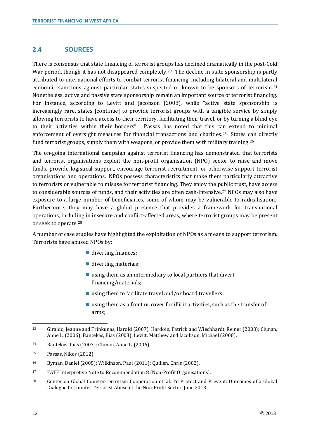# <span id="page-13-0"></span>**2.4 SOURCES**

There is consensus that state financing of terrorist groups has declined dramatically in the post-Cold War period, though it has not disappeared completely.<sup>[23](#page-13-1)</sup> The decline in state sponsorship is partly attributed to international efforts to combat terrorist financing, including bilateral and multilateral economic sanctions against particular states suspected or known to be sponsors of terrorism.[24](#page-13-2) Nonetheless, active and passive state sponsorship remain an important source of terrorist financing. For instance, according to Levitt and Jacobson (2008), while "active state sponsorship is increasingly rare, states [continue] to provide terrorist groups with a tangible service by simply allowing terrorists to have access to their territory, facilitating their travel, or by turning a blind eye to their activities within their borders". Passas has noted that this can extend to minimal enforcement of oversight measures for financial transactions and charities.[25](#page-13-3) States [can](#page-13-4) directly fund terrorist groups, supply them with weapons, or provide them with military training.26

The on-going international campaign against terrorist financing has demonstrated that terrorists and terrorist organisations exploit the non-profit organisation (NPO) sector to raise and move funds, provide logistical support, encourage terrorist recruitment, or otherwise support terrorist organisations and operations. NPOs possess characteristics that make them particularly attractive to terrorists or vulnerable to misuse for terrorist financing. They enjoy the p[ub](#page-13-5)lic trust, have access to considerable sources of funds, and their activities are often cash-intensive.27 NPOs may also have exposure to a large number of beneficiaries, some of whom may be vulnerable to radicalisation. Furthermore, they may have a global presence that provides a framework for transnational operations, including in insecure and conflict-affected areas, where terrorist groups may be present or seek to operate.[28](#page-13-6)

A number of case studies have highlighted the exploitation of NPOs as a means to support terrorism. Terrorists have abused NPOs by:

- diverting finances;
- diverting materials;
- using them as an intermediary to local partners that divert financing/materials;
- using them to facilitate travel and/or board travellers;
- using them as a front or cover for illicit activities, such as the transfer of arms;

- <span id="page-13-2"></span><sup>24</sup> Bantekas, Ilias (2003); Clunan, Anne L. (2006).
- <span id="page-13-3"></span><sup>25</sup> Passas, Nikos (2012).

- <span id="page-13-5"></span><sup>27</sup> FATF Interpretive Note to Recommendation 8 (Non-Profit Organisations).
- <span id="page-13-6"></span><sup>28</sup> Center on Global Counter-terrorism Cooperation et. al. To Protect and Prevent: Outcomes of a Global Dialogue to Counter Terrorist Abuse of the Non-Profit Sector, June 2013.

<span id="page-13-1"></span> $\overline{a}$ <sup>23</sup> Giraldo, Jeanne and Trinkunas, Harold (2007); Hardoin, Patrick and Wiechhardt, Reiner (2003); Clunan, Anne L. (2006); Bantekas, Ilias (2003); Levitt, Matthew and Jacobson, Michael (2008).

<span id="page-13-4"></span><sup>26</sup> Byman, Daniel (2005); Wilkinson, Paul (2011); Quillen, Chris (2002).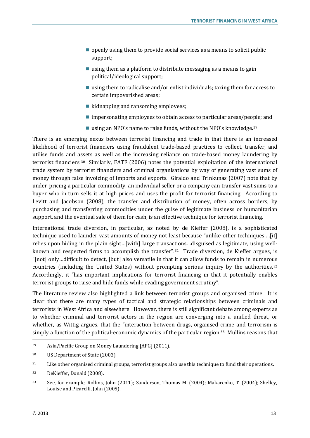- $\Box$  openly using them to provide social services as a means to solicit public support;
- $\blacksquare$  using them as a platform to distribute messaging as a means to gain political/ideological support;
- using them to radicalise and/or enlist individuals; taxing them for access to certain impoverished areas;
- $\blacksquare$  kidnapping and ransoming employees;
- impersonating employees to obtain access to particular areas/people; and
- using an NPO's name to raise funds, without the NPO's knowledge.<sup>[29](#page-14-0)</sup>

There is an emerging nexus between terrorist financing and trade in that there is an increased likelihood of terrorist financiers using fraudulent trade-based practices to collect, transfer, and utilise funds and assets as well as the increasing reliance on trade-based money laundering by terrorist financiers.[30](#page-14-1) Similarly, FATF (2006) notes the potential exploitation of the international trade system by terrorist financiers and criminal organisations by way of generating vast sums of money through false invoicing of imports and exports. Giraldo and Trinkunas (2007) note that by under-pricing a particular commodity, an individual seller or a company can transfer vast sums to a buyer who in turn sells it at high prices and uses the profit for terrorist financing. According to Levitt and Jacobson (2008), the transfer and distribution of money, often across borders, by purchasing and transferring commodities under the guise of legitimate business or humanitarian support, and the eventual sale of them for cash, is an effective technique for terrorist financing.

International trade diversion, in particular, as noted by de Kieffer (2008), is a sophisticated technique used to launder vast amounts of money not least because "unlike other techniques,…[it] relies upon hiding in the plain sight…[with] large transactions…disguised as legitimate, using well-known and respected firms to accomplish the transfer".<sup>[31](#page-14-2)</sup> Trade diversion, de Kieffer argues, is "[not] only…difficult to detect, [but] also versatile in that it can allow funds to remain in numerous countries (including the United States) without prompting serious inquiry by the authorities. $32$ Accordingly, it "has important implications for terrorist financing in that it potentially enables terrorist groups to raise and hide funds while evading government scrutiny".

The literature review also highlighted a link between terrorist groups and organised crime. It is clear that there are many types of tactical and strategic relationships between criminals and terrorists in West Africa and elsewhere. However, there is still significant debate among experts as to whether criminal and terrorist actors in the region are converging into a unified threat, or whether, as Wittig argues, that the "interaction between drugs, organised crime and terrorism is simply a function of the political-economic dynamics of the particular region.<sup>[33](#page-14-4)</sup> Mullins reasons that

<span id="page-14-0"></span><sup>29</sup> Asia/Pacific Group on Money Laundering [APG] (2011).

<span id="page-14-1"></span><sup>30</sup> US Department of State (2003).

<span id="page-14-2"></span><sup>31</sup> Like other organised criminal groups, terrorist groups also use this technique to fund their operations.

<span id="page-14-3"></span><sup>32</sup> DeKieffer, Donald (2008).

<span id="page-14-4"></span><sup>33</sup> See, for example, Rollins, John (2011); Sanderson, Thomas M. (2004); Makarenko, T. (2004); Shelley, Louise and Picarelli, John (2005).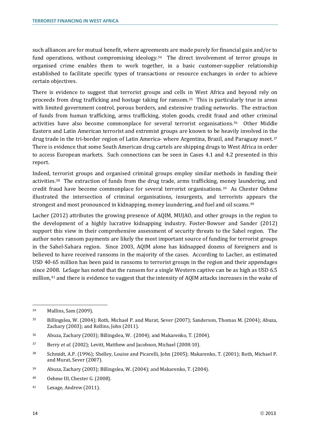such alliances are for mutual benefit, where agreements are made purely for financial gain and/or to fund operations, without compromising ideology.<sup>[34](#page-15-0)</sup> The direct involvement of terror groups in organised crime enables them to work together, in a basic customer-supplier relationship established to facilitate specific types of transactions or resource exchanges in order to achieve certain objectives.

There is evidence to suggest that terrorist groups and cells in West Africa and beyond rely on proceeds from drug trafficking and hostage taking for ransom.[35](#page-15-1) This is particularly true in areas with limited government control, porous borders, and extensive trading networks. The extraction of funds from human trafficking, arms trafficking, stolen goods, credit fraud and other criminal activities have also become commonplace for several terrorist organisations.[36](#page-15-2) Other Middle Eastern and Latin American terrorist and extremist groups are known to be heavily involved in the drug trade in the tri-border region of Latin America- where Argentina, Brazil, and Paraguay meet.<sup>[37](#page-15-3)</sup> There is evidence that some South American drug cartels are shipping drugs to West Africa in order to access European markets. Such connections can be seen in Cases 4.1 and 4.2 presented in this report.

Indeed, terrorist groups and organised criminal groups employ similar methods in funding their activities.[38](#page-15-4) The extraction of funds from the drug trade, arms trafficking, [mo](#page-15-5)ney laundering, and credit fraud have become commonplace for several terrorist organisations.39 As Chester Oehme illustrated the intersection of criminal organisations, insurgents, and terrorists appears the strongest and most pronounced in kidnapping, money laundering, and fuel and oil scams.<sup>[40](#page-15-6)</sup>

Lacher (2012) attributes the growing presence of AQIM, MUJAO, and other groups in the region to the development of a highly lucrative kidnapping industry. Foster-Bowser and Sander (2012) support this view in their comprehensive assessment of security threats to the Sahel region. The author notes ransom payments are likely the most important source of funding for terrorist groups in the Sahel-Sahara region. Since 2003, AQIM alone has kidnapped dozens of foreigners and is believed to have received ransoms in the majority of the cases. According to Lacher, an estimated USD 40-65 million has been paid in ransoms to terrorist groups in the region and their appendages since 2008. LeSage has noted that the ransom for a single Western captive can be as high as USD 6.5 million[,41](#page-15-7) and there is evidence to suggest that the intensity of AQIM attacks increases in the wake of

<span id="page-15-0"></span><sup>34</sup> Mullins, Sam (2009).

<span id="page-15-1"></span><sup>35</sup> Billingslea, W. (2004); Roth, Michael P. and Murat, Sever (2007); Sanderson, Thomas M. (2004); Abuza, Zachary (2003); and Rollins, John (2011).

<span id="page-15-2"></span><sup>36</sup> Abuza, Zachary (2003); Billingslea, W. (2004); and Makarenko, T. (2004).

<span id="page-15-3"></span><sup>37</sup> Berry *et al*. (2002); Levitt, Matthew and Jacobson, Michael (2008:10).

<span id="page-15-4"></span><sup>38</sup> Schmidt, A.P. (1996); Shelley, Louise and Picarelli, John (2005); Makarenko, T. (2001); Roth, Michael P. and Murat, Sever (2007).

<span id="page-15-5"></span><sup>39</sup> Abuza, Zachary (2003); Billingslea, W. (2004); and Makarenko, T. (2004).

<span id="page-15-6"></span><sup>40</sup> Oehme III, Chester G. (2008).

<span id="page-15-7"></span><sup>41</sup> Lesage, Andrew (2011).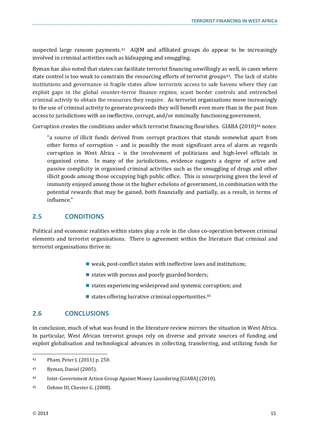suspected large ransom payments.<sup>42</sup> AQIM and affiliated groups do appear to be increasingly involved in criminal activities such as kidnapping and smuggling.

Byman has also noted that states can facilitate terrorist financing unwillingly as well, in cases where state control is too weak to constrain the resourcing efforts of terrorist groups<sup>[43](#page-16-3)</sup>. The lack of stable institutions and governance in fragile states allow terrorists access to safe havens where they can exploit gaps in the global counter-terror finance regime, scant border controls and entrenched criminal activity to obtain the resources they require. As terrorist organisations move increasingly to the use of criminal activity to generate proceeds they will benefit even more than in the past from access to jurisdictions with an ineffective, corrupt, and/or minimally functioning government.

Corruption creates the conditions under which terrorist financing flourishes. GIABA  $(2010)^{44}$  $(2010)^{44}$  $(2010)^{44}$  notes:

"a source of illicit funds derived from corrupt practices that stands somewhat apart from other forms of corruption – and is possibly the most significant area of alarm as regards corruption in West Africa – is the involvement of politicians and high-level officials in organised crime. In many of the jurisdictions, evidence suggests a degree of active and passive complicity in organised criminal activities such as the smuggling of drugs and other illicit goods among those occupying high public office. This is unsurprising given the level of immunity enjoyed among those in the higher echelons of government, in combination with the potential rewards that may be gained, both financially and partially, as a result, in terms of influence."

## <span id="page-16-0"></span>**2.5 CONDITIONS**

Political and economic realities within states play a role in the close co-operation between criminal elements and terrorist organisations. There is agreement within the literature that criminal and terrorist organisations thrive in:

- $\blacksquare$  weak, post-conflict states with ineffective laws and institutions;
- $\blacksquare$  states with porous and poorly guarded borders;
- $\blacksquare$  states experiencing widespread and systemic corruption; and
- $\blacksquare$  states offering lucrative criminal opportunities.<sup>[45](#page-16-5)</sup>

## <span id="page-16-1"></span>**2.6 CONCLUSIONS**

In conclusion, much of what was found in the literature review mirrors the situation in West Africa. In particular, West African terrorist groups rely on diverse and private sources of funding and exploit globalisation and technological advances in collecting, transferring, and utilizing funds for

<span id="page-16-2"></span><sup>42</sup> Pham, Peter J. (2011) p. 250.

<span id="page-16-3"></span><sup>43</sup> Byman, Daniel (2005).

<span id="page-16-4"></span><sup>44</sup> Inter-Government Action Group Against Money Laundering [GIABA] (2010).

<span id="page-16-5"></span><sup>45</sup> Oehme III, Chester G. (2008).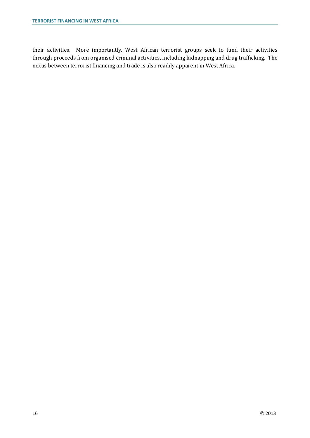their activities. More importantly, West African terrorist groups seek to fund their activities through proceeds from organised criminal activities, including kidnapping and drug trafficking. The nexus between terrorist financing and trade is also readily apparent in West Africa.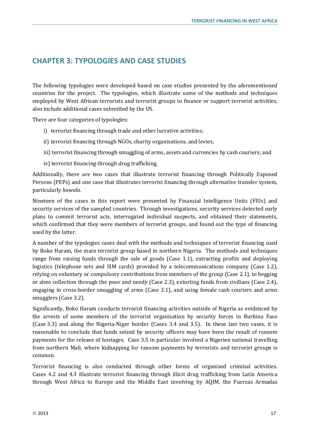# <span id="page-18-0"></span>**CHAPTER 3: TYPOLOGIES AND CASE STUDIES**

The following typologies were developed based on case studies presented by the aforementioned countries for the project. The typologies, which illustrate some of the methods and techniques employed by West African terrorists and terrorist groups to finance or support terrorist activities, also include additional cases submitted by the US.

There are four categories of typologies:

- i) terrorist financing through trade and other lucrative activities;
- ii) terrorist financing through NGOs, charity organisations, and levies;
- iii) terrorist financing through smuggling of arms, assets and currencies by cash couriers; and
- iv) terrorist financing through drug trafficking.

Additionally, there are two cases that illustrate terrorist financing through Politically Exposed Persons (PEPs) and one case that illustrates terrorist financing through alternative transfer system, particularly *hawala*.

Nineteen of the cases in this report were presented by Financial Intelligence Units (FIUs) and security services of the sampled countries. Through investigations, security services detected early plans to commit terrorist acts, interrogated individual suspects, and obtained their statements, which confirmed that they were members of terrorist groups, and found out the type of financing used by the latter.

A number of the typologies cases deal with the methods and techniques of terrorist financing used by Boko Haram, the main terrorist group based in northern Nigeria. The methods and techniques range from raising funds through the sale of goods (Case 1.1), extracting profits and deploying logistics (telephone sets and SIM cards) provided by a telecommunications company (Case 1.2), relying on voluntary or compulsory contributions from members of the group (Case 2.1), to begging or alms collection through the poor and needy (Case 2.3), extorting funds from civilians (Case 2.4), engaging in cross-border smuggling of arms (Case 3.1), and using female cash couriers and arms smugglers (Case 3.2).

Significantly, Boko Haram conducts terrorist financing activities outside of Nigeria as evidenced by the arrests of some members of the terrorist organisation by security forces in Burkina Faso (Case 3.3) and along the Nigeria-Niger border (Cases 3.4 and 3.5). In these last two cases, it is reasonable to conclude that funds seized by security officers may have been the result of ransom payments for the release of hostages. Case 3.5 in particular involved a Nigerien national travelling from northern Mali, where kidnapping for ransom payments by terrorists and terrorist groups is common.

Terrorist financing is also conducted through other forms of organised criminal activities. Cases 4.2 and 4.3 illustrate terrorist financing through illicit drug trafficking from Latin America through West Africa to Europe and the Middle East involving by AQIM, the Fuerzas Armadas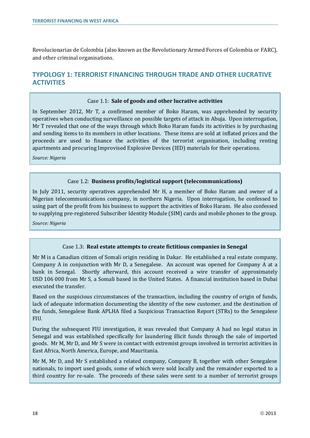Revolucionarias de Colombia (also known as the Revolutionary Armed Forces of Colombia or FARC), and other criminal organisations.

# <span id="page-19-0"></span>**TYPOLOGY 1: TERRORIST FINANCING THROUGH TRADE AND OTHER LUCRATIVE ACTIVITIES**

#### Case 1.1: **Sale of goods and other lucrative activities**

In September 2012, Mr T, a confirmed member of Boko Haram, was apprehended by security operatives when conducting surveillance on possible targets of attack in Abuja. Upon interrogation, Mr T revealed that one of the ways through which Boko Haram funds its activities is by purchasing and sending items to its members in other locations. These items are sold at inflated prices and the proceeds are used to finance the activities of the terrorist organisation, including renting apartments and procuring Improvised Explosive Devices (IED) materials for their operations.

*Source: Nigeria*

## Case 1.2: **Business profits/logistical support (telecommunications)**

In July 2011, security operatives apprehended Mr H, a member of Boko Haram and owner of a Nigerian telecommunications company, in northern Nigeria. Upon interrogation, he confessed to using part of the profit from his business to support the activities of Boko Haram. He also confessed to supplying pre-registered Subscriber Identity Module (SIM) cards and mobile phones to the group.

*Source: Nigeria*

#### Case 1.3: **Real estate attempts to create fictitious companies in Senegal**

Mr M is a Canadian citizen of Somali origin residing in Dakar. He established a real estate company, Company A in conjunction with Mr D, a Senegalese. An account was opened for Company A at a bank in Senegal. Shortly afterward, this account received a wire transfer of approximately USD 106 000 from Mr S, a Somali based in the United States. A financial institution based in Dubai executed the transfer.

Based on the suspicious circumstances of the transaction, including the country of origin of funds, lack of adequate information documenting the identity of the new customer, and the destination of the funds, Senegalese Bank APLHA filed a Suspicious Transaction Report (STRs) to the Senegalese FIU.

During the subsequent FIU investigation, it was revealed that Company A had no legal status in Senegal and was established specifically for laundering illicit funds through the sale of imported goods. Mr M, Mr D, and Mr S were in contact with extremist groups involved in terrorist activities in East Africa, North America, Europe, and Mauritania.

Mr M, Mr D, and Mr S established a related company, Company B, together with other Senegalese nationals, to import used goods, some of which were sold locally and the remainder exported to a third country for re-sale. The proceeds of these sales were sent to a number of terrorist groups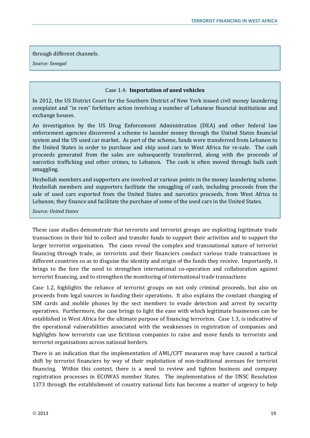#### through different channels.

*Source: Senegal*

#### Case 1.4: **Importation of used vehicles**

In 2012, the US District Court for the Southern District of New York issued civil money laundering complaint and "in rem" forfeiture action involving a number of Lebanese financial institutions and exchange houses.

An investigation by the US Drug Enforcement Administration (DEA) and other federal law enforcement agencies discovered a scheme to launder money through the United States financial system and the US used car market. As part of the scheme, funds were transferred from Lebanon to the United States in order to purchase and ship used cars to West Africa for re-sale. The cash proceeds generated from the sales are subsequently transferred, along with the proceeds of narcotics trafficking and other crimes, to Lebanon. The cash is often moved through bulk cash smuggling.

Hezbollah members and supporters are involved at various points in the money laundering scheme. Hezbollah members and supporters facilitate the smuggling of cash, including proceeds from the sale of used cars exported from the United States and narcotics proceeds, from West Africa to Lebanon; they finance and facilitate the purchase of some of the used cars in the United States.

*Source: United States*

These case studies demonstrate that terrorists and terrorist groups are exploiting legitimate trade transactions in their bid to collect and transfer funds to support their activities and to support the larger terrorist organisation. The cases reveal the complex and transnational nature of terrorist financing through trade, as terrorists and their financiers conduct various trade transactions in different countries so as to disguise the identity and origin of the funds they receive. Importantly, it brings to the fore the need to strengthen international co-operation and collaboration against terrorist financing, and to strengthen the monitoring of international trade transactions

Case 1.2, highlights the reliance of terrorist groups on not only criminal proceeds, but also on proceeds from legal sources in funding their operations. It also explains the constant changing of SIM cards and mobile phones by the sect members to evade detection and arrest by security operatives. Furthermore, the case brings to light the ease with which legitimate businesses can be established in West Africa for the ultimate purpose of financing terrorism. Case 1.3, is indicative of the operational vulnerabilities associated with the weaknesses in registration of companies and highlights how terrorists can use fictitious companies to raise and move funds to terrorists and terrorist organisations across national borders.

There is an indication that the implementation of AML/CFT measures may have caused a tactical shift by terrorist financiers by way of their exploitation of non-traditional avenues for terrorist financing. Within this context, there is a need to review and tighten business and company registration processes in ECOWAS member States. The implementation of the UNSC Resolution 1373 through the establishment of country national lists has become a matter of urgency to help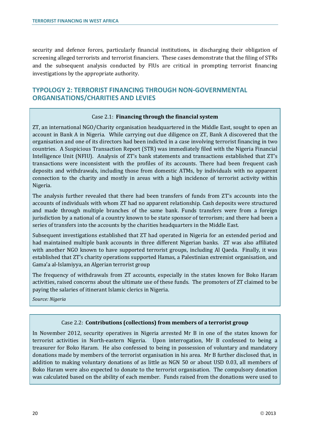security and defence forces, particularly financial institutions, in discharging their obligation of screening alleged terrorists and terrorist financiers. These cases demonstrate that the filing of STRs and the subsequent analysis conducted by FIUs are critical in prompting terrorist financing investigations by the appropriate authority.

# <span id="page-21-0"></span>**TYPOLOGY 2: TERRORIST FINANCING THROUGH NON-GOVERNMENTAL ORGANISATIONS/CHARITIES AND LEVIES**

## Case 2.1: **Financing through the financial system**

ZT, an international NGO/Charity organisation headquartered in the Middle East, sought to open an account in Bank A in Nigeria. While carrying out due diligence on ZT, Bank A discovered that the organisation and one of its directors had been indicted in a case involving terrorist financing in two countries. A Suspicious Transaction Report (STR) was immediately filed with the Nigeria Financial Intelligence Unit (NFIU). Analysis of ZT's bank statements and transactions established that ZT's transactions were inconsistent with the profiles of its accounts. There had been frequent cash deposits and withdrawals, including those from domestic ATMs, by individuals with no apparent connection to the charity and mostly in areas with a high incidence of terrorist activity within Nigeria.

The analysis further revealed that there had been transfers of funds from ZT's accounts into the accounts of individuals with whom ZT had no apparent relationship. Cash deposits were structured and made through multiple branches of the same bank. Funds transfers were from a foreign jurisdiction by a national of a country known to be state sponsor of terrorism; and there had been a series of transfers into the accounts by the charities headquarters in the Middle East.

Subsequent investigations established that ZT had operated in Nigeria for an extended period and had maintained multiple bank accounts in three different Nigerian banks. ZT was also affiliated with another NGO known to have supported terrorist groups, including Al Qaeda. Finally, it was established that ZT's charity operations supported Hamas, a Palestinian extremist organisation, and Gama'a al-Islamiyya, an Algerian terrorist group

The frequency of withdrawals from ZT accounts, especially in the states known for Boko Haram activities, raised concerns about the ultimate use of these funds. The promoters of ZT claimed to be paying the salaries of itinerant Islamic clerics in Nigeria.

*Source: Nigeria*

## Case 2.2: **Contributions (collections) from members of a terrorist group**

In November 2012, security operatives in Nigeria arrested Mr B in one of the states known for terrorist activities in North-eastern Nigeria. Upon interrogation, Mr B confessed to being a treasurer for Boko Haram. He also confessed to being in possession of voluntary and mandatory donations made by members of the terrorist organisation in his area. Mr B further disclosed that, in addition to making voluntary donations of as little as NGN 50 or about USD 0.03, all members of Boko Haram were also expected to donate to the terrorist organisation. The compulsory donation was calculated based on the ability of each member. Funds raised from the donations were used to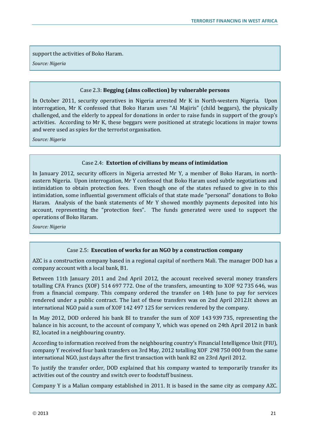support the activities of Boko Haram.

*Source: Nigeria*

#### Case 2.3: **Begging (alms collection) by vulnerable persons**

In October 2011, security operatives in Nigeria arrested Mr K in North-western Nigeria. Upon interrogation, Mr K confessed that Boko Haram uses "Al Majiris" (child beggars), the physically challenged, and the elderly to appeal for donations in order to raise funds in support of the group's activities. According to Mr K, these beggars were positioned at strategic locations in major towns and were used as spies for the terrorist organisation.

*Source: Nigeria*

## Case 2.4: **Extortion of civilians by means of intimidation**

In January 2012, security officers in Nigeria arrested Mr Y, a member of Boko Haram, in northeastern Nigeria. Upon interrogation, Mr Y confessed that Boko Haram used subtle negotiations and intimidation to obtain protection fees. Even though one of the states refused to give in to this intimidation, some influential government officials of that state made "personal" donations to Boko Haram. Analysis of the bank statements of Mr Y showed monthly payments deposited into his account, representing the "protection fees". The funds generated were used to support the operations of Boko Haram.

*Source: Nigeria*

## Case 2.5: **Execution of works for an NGO by a construction company**

AZC is a construction company based in a regional capital of northern Mali. The manager DOD has a company account with a local bank, B1.

Between 11th January 2011 and 2nd April 2012, the account received several money transfers totalling CFA Francs (XOF) 514 697 772. One of the transfers, amounting to XOF 92 735 646, was from a financial company. This company ordered the transfer on 14th June to pay for services rendered under a public contract. The last of these transfers was on 2nd April 2012.It shows an international NGO paid a sum of XOF 142 497 125 for services rendered by the company.

In May 2012, DOD ordered his bank BI to transfer the sum of XOF 143 939 735, representing the balance in his account, to the account of company Y, which was opened on 24th April 2012 in bank B2, located in a neighbouring country.

According to information received from the neighbouring country's Financial Intelligence Unit (FIU), company Y received four bank transfers on 3rd May, 2012 totalling XOF 298 750 000 from the same international NGO, just days after the first transaction with bank B2 on 23rd April 2012.

To justify the transfer order, DOD explained that his company wanted to temporarily transfer its activities out of the country and switch over to foodstuff business.

Company Y is a Malian company established in 2011. It is based in the same city as company AZC.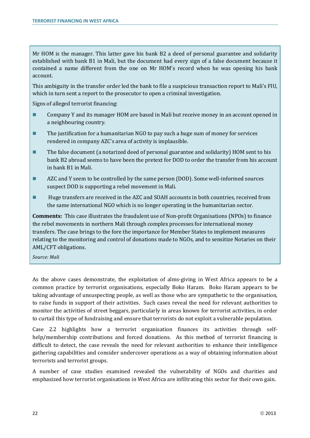Mr HOM is the manager. This latter gave his bank B2 a deed of personal guarantee and solidarity established with bank B1 in Mali, but the document had every sign of a false document because it contained a name different from the one on Mr HOM's record when he was opening his bank account.

This ambiguity in the transfer order led the bank to file a suspicious transaction report to Mali's FIU, which in turn sent a report to the prosecutor to open a criminal investigation.

Signs of alleged terrorist financing:

- Company Y and its manager HOM are based in Mali but receive money in an account opened in a neighbouring country.
- The justification for a humanitarian NGO to pay such a huge sum of money for services rendered in company AZC's area of activity is implausible.
- The false document (a notarized deed of personal guarantee and solidarity) HOM sent to his bank B2 abroad seems to have been the pretext for DOD to order the transfer from his account in bank B1 in Mali.
- AZC and Y seem to be controlled by the same person (DOD). Some well-informed sources suspect DOD is supporting a rebel movement in Mali.
- **Huge transfers are received in the AZC and SOAH accounts in both countries, received from** the same international NGO which is no longer operating in the humanitarian sector.

**Comments:** This case illustrates the fraudulent use of Non-profit Organisations (NPOs) to finance the rebel movements in northern Mali through complex processes for international money transfers. The case brings to the fore the importance for Member States to implement measures relating to the monitoring and control of donations made to NGOs, and to sensitize Notaries on their AML/CFT obligations.

*Source: Mali*

As the above cases demonstrate, the exploitation of alms-giving in West Africa appears to be a common practice by terrorist organisations, especially Boko Haram. Boko Haram appears to be taking advantage of unsuspecting people, as well as those who are sympathetic to the organisation, to raise funds in support of their activities. Such cases reveal the need for relevant authorities to monitor the activities of street beggars, particularly in areas known for terrorist activities, in order to curtail this type of fundraising and ensure that terrorists do not exploit a vulnerable population.

Case 2.2 highlights how a terrorist organisation finances its activities through selfhelp/membership contributions and forced donations. As this method of terrorist financing is difficult to detect, the case reveals the need for relevant authorities to enhance their intelligence gathering capabilities and consider undercover operations as a way of obtaining information about terrorists and terrorist groups.

A number of case studies examined revealed the vulnerability of NGOs and charities and emphasized how terrorist organisations in West Africa are infiltrating this sector for their own gain.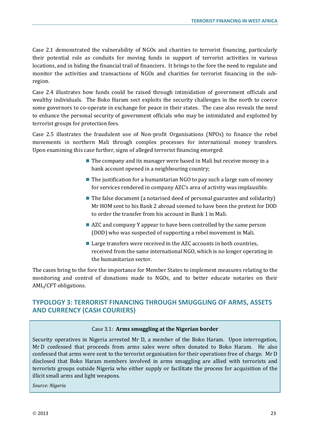Case 2.1 demonstrated the vulnerability of NGOs and charities to terrorist financing, particularly their potential role as conduits for moving funds in support of terrorist activities in various locations, and in hiding the financial trail of financiers. It brings to the fore the need to regulate and monitor the activities and transactions of NGOs and charities for terrorist financing in the subregion.

Case 2.4 illustrates how funds could be raised through intimidation of government officials and wealthy individuals. The Boko Haram sect exploits the security challenges in the north to coerce some governors to co-operate in exchange for peace in their states. The case also reveals the need to enhance the personal security of government officials who may be intimidated and exploited by terrorist groups for protection fees.

Case 2.5 illustrates the fraudulent use of Non-profit Organisations (NPOs) to finance the rebel movements in northern Mali through complex processes for international money transfers. Upon examining this case further, signs of alleged terrorist financing emerged:

- $\blacksquare$  The company and its manager were based in Mali but receive money in a bank account opened in a neighbouring country;
- $\blacksquare$  The justification for a humanitarian NGO to pay such a large sum of money for services rendered in company AZC's area of activity was implausible.
- $\blacksquare$  The false document (a notarised deed of personal guarantee and solidarity) Mr HOM sent to his Bank 2 abroad seemed to have been the pretext for DOD to order the transfer from his account in Bank 1 in Mali.
- AZC and company Y appear to have been controlled by the same person (DOD) who was suspected of supporting a rebel movement in Mali.
- $\blacksquare$  Large transfers were received in the AZC accounts in both countries, received from the same international NGO, which is no longer operating in the humanitarian sector.

The cases bring to the fore the importance for Member States to implement measures relating to the monitoring and control of donations made to NGOs, and to better educate notaries on their AML/CFT obligations.

# <span id="page-24-0"></span>**TYPOLOGY 3: TERRORIST FINANCING THROUGH SMUGGLING OF ARMS, ASSETS AND CURRENCY (CASH COURIERS)**

## Case 3.1: **Arms smuggling at the Nigerian border**

Security operatives in Nigeria arrested Mr D, a member of the Boko Haram. Upon interrogation, Mr D confessed that proceeds from arms sales were often donated to Boko Haram. He also confessed that arms were sent to the terrorist organisation for their operations free of charge. Mr D disclosed that Boko Haram members involved in arms smuggling are allied with terrorists and terrorists groups outside Nigeria who either supply or facilitate the process for acquisition of the illicit small arms and light weapons.

*Source: Nigeria*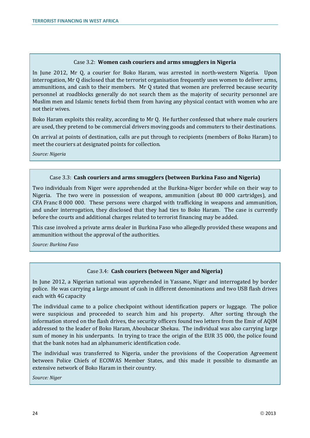#### Case 3.2: **Women cash couriers and arms smugglers in Nigeria**

In June 2012, Mr Q, a courier for Boko Haram, was arrested in north-western Nigeria. Upon interrogation, Mr Q disclosed that the terrorist organisation frequently uses women to deliver arms, ammunitions, and cash to their members. Mr Q stated that women are preferred because security personnel at roadblocks generally do not search them as the majority of security personnel are Muslim men and Islamic tenets forbid them from having any physical contact with women who are not their wives.

Boko Haram exploits this reality, according to Mr Q. He further confessed that where male couriers are used, they pretend to be commercial drivers moving goods and commuters to their destinations.

On arrival at points of destination, calls are put through to recipients (members of Boko Haram) to meet the couriers at designated points for collection.

*Source: Nigeria*

## Case 3.3: **Cash couriers and arms smugglers (between Burkina Faso and Nigeria)**

Two individuals from Niger were apprehended at the Burkina-Niger border while on their way to Nigeria. The two were in possession of weapons, ammunition (about 80 000 cartridges), and CFA Franc 8 000 000. These persons were charged with trafficking in weapons and ammunition, and under interrogation, they disclosed that they had ties to Boko Haram. The case is currently before the courts and additional charges related to terrorist financing may be added.

This case involved a private arms dealer in Burkina Faso who allegedly provided these weapons and ammunition without the approval of the authorities.

*Source: Burkina Faso*

## Case 3.4: **Cash couriers (between Niger and Nigeria)**

In June 2012, a Nigerian national was apprehended in Yassane, Niger and interrogated by border police. He was carrying a large amount of cash in different denominations and two USB flash drives each with 4G capacity

The individual came to a police checkpoint without identification papers or luggage. The police were suspicious and proceeded to search him and his property. After sorting through the information stored on the flash drives, the security officers found two letters from the Emir of AQIM addressed to the leader of Boko Haram, Aboubacar Shekau. The individual was also carrying large sum of money in his underpants. In trying to trace the origin of the EUR 35 000, the police found that the bank notes had an alphanumeric identification code.

The individual was transferred to Nigeria, under the provisions of the Cooperation Agreement between Police Chiefs of ECOWAS Member States, and this made it possible to dismantle an extensive network of Boko Haram in their country.

*Source: Niger*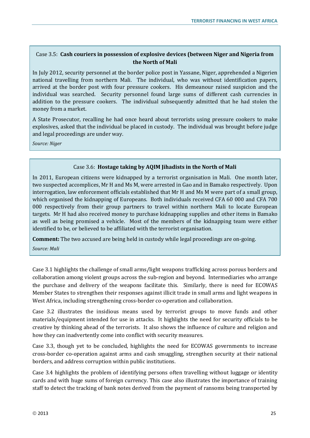## Case 3.5: **Cash couriers in possession of explosive devices (between Niger and Nigeria from the North of Mali**

In July 2012, security personnel at the border police post in Yassane, Niger, apprehended a Nigerien national travelling from northern Mali. The individual, who was without identification papers, arrived at the border post with four pressure cookers. His demeanour raised suspicion and the individual was searched. Security personnel found large sums of different cash currencies in addition to the pressure cookers. The individual subsequently admitted that he had stolen the money from a market.

A State Prosecutor, recalling he had once heard about terrorists using pressure cookers to make explosives, asked that the individual be placed in custody. The individual was brought before judge and legal proceedings are under way.

*Source: Niger*

## Case 3.6: **Hostage taking by AQIM Jihadists in the North of Mali**

In 2011, European citizens were kidnapped by a terrorist organisation in Mali. One month later, two suspected accomplices, Mr H and Ms M, were arrested in Gao and in Bamako respectively. Upon interrogation, law enforcement officials established that Mr H and Ms M were part of a small group, which organised the kidnapping of Europeans. Both individuals received CFA 60 000 and CFA 700 000 respectively from their group partners to travel within northern Mali to locate European targets. Mr H had also received money to purchase kidnapping supplies and other items in Bamako as well as being promised a vehicle. Most of the members of the kidnapping team were either identified to be, or believed to be affiliated with the terrorist organisation.

**Comment:** The two accused are being held in custody while legal proceedings are on-going.

*Source: Mali*

Case 3.1 highlights the challenge of small arms/light weapons trafficking across porous borders and collaboration among violent groups across the sub-region and beyond. Intermediaries who arrange the purchase and delivery of the weapons facilitate this. Similarly, there is need for ECOWAS Member States to strengthen their responses against illicit trade in small arms and light weapons in West Africa, including strengthening cross-border co-operation and collaboration.

Case 3.2 illustrates the insidious means used by terrorist groups to move funds and other materials/equipment intended for use in attacks. It highlights the need for security officials to be creative by thinking ahead of the terrorists. It also shows the influence of culture and religion and how they can inadvertently come into conflict with security measures.

Case 3.3, though yet to be concluded, highlights the need for ECOWAS governments to increase cross-border co-operation against arms and cash smuggling, strengthen security at their national borders, and address corruption within public institutions.

Case 3.4 highlights the problem of identifying persons often travelling without luggage or identity cards and with huge sums of foreign currency. This case also illustrates the importance of training staff to detect the tracking of bank notes derived from the payment of ransoms being transported by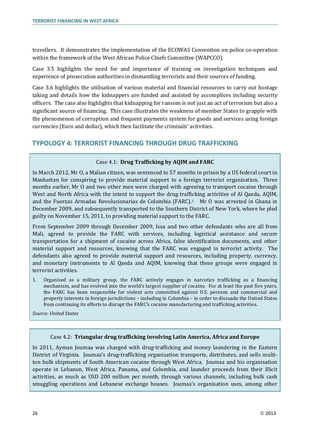travellers. It demonstrates the implementation of the ECOWAS Convention on police co-operation within the framework of the West African Police Chiefs Committee (WAPCCO).

Case 3.5 highlights the need for and importance of training on investigation techniques and experience of prosecution authorities in dismantling terrorists and their sources of funding.

Case 3.6 highlights the utilisation of various material and financial resources to carry out hostage taking and details how the kidnappers are funded and assisted by accomplices including security officers. The case also highlights that kidnapping for ransom is not just an act of terrorism but also a significant source of financing. This case illustrates the weakness of member States to grapple with the phenomenon of corruption and frequent payments system for goods and services using foreign currencies (Euro and dollar), which then facilitate the criminals' activities.

# <span id="page-27-0"></span>**TYPOLOGY 4: TERRORIST FINANCING THROUGH DRUG TRAFFICKING**

## Case 4.1: **Drug Trafficking by AQIM and FARC**

In March 2012, Mr O, a Malian citizen, was sentenced to 57 months in prison by a US federal court in Manhattan for conspiring to provide material support to a foreign terrorist organisation. Three months earlier, Mr O and two other men were charged with agreeing to transport cocaine through West and North Africa with the intent to support the drug trafficking activities of Al Qaeda, AQIM, and the Fuerzas Armadas Revolucionarias de Colombia (FARC).1 Mr O was arrested in Ghana in December 2009, and subsequently transported to the Southern District of New York, where he pled guilty on November 15, 2011, to providing material support to the FARC.

From September 2009 through December 2009, Issa and two other defendants who are all from Mali, agreed to provide the FARC with services, including logistical assistance and secure transportation for a shipment of cocaine across Africa, false identification documents, and other material support and resources, knowing that the FARC was engaged in terrorist activity. The defendants also agreed to provide material support and resources, including property, currency, and monetary instruments to Al Qaeda and AQIM, knowing that these groups were engaged in terrorist activities.

1. Organised as a military group, the FARC actively engages in narcotics trafficking as a financing mechanism, and has evolved into the world's largest supplier of cocaine. For at least the past five years, the FARC has been responsible for violent acts committed against U.S. persons and commercial and property interests in foreign jurisdictions – including in Colombia – in order to dissuade the United States from continuing its efforts to disrupt the FARC's cocaine manufacturing and trafficking activities.

*Source: United States*

## Case 4.2: **Triangular drug trafficking involving Latin America, Africa and Europe**

In 2011, Ayman Joumaa was charged with drug-trafficking and money laundering in the Eastern District of Virginia. Joumaa's drug-trafficking organisation transports, distributes, and sells multiton bulk shipments of South American cocaine through West Africa. Joumaa and his organisation operate in Lebanon, West Africa, Panama, and Colombia, and launder proceeds from their illicit activities, as much as USD 200 million per month, through various channels, including bulk cash smuggling operations and Lebanese exchange houses. Joumaa's organisation uses, among other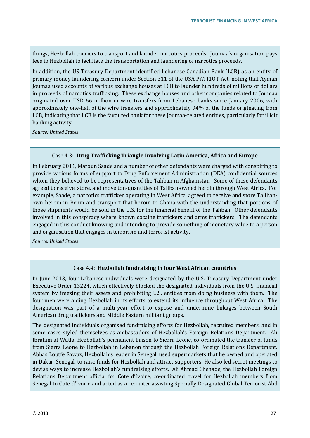things, Hezbollah couriers to transport and launder narcotics proceeds. Joumaa's organisation pays fees to Hezbollah to facilitate the transportation and laundering of narcotics proceeds.

In addition, the US Treasury Department identified Lebanese Canadian Bank (LCB) as an entity of primary money laundering concern under Section 311 of the USA PATRIOT Act, noting that Ayman Joumaa used accounts of various exchange houses at LCB to launder hundreds of millions of dollars in proceeds of narcotics trafficking. These exchange houses and other companies related to Joumaa originated over USD 66 million in wire transfers from Lebanese banks since January 2006, with approximately one-half of the wire transfers and approximately 94% of the funds originating from LCB, indicating that LCB is the favoured bank for these Joumaa-related entities, particularly for illicit banking activity.

*Source: United States*

#### Case 4.3: **Drug Trafficking Triangle Involving Latin America, Africa and Europe**

In February 2011, Maroun Saade and a number of other defendants were charged with conspiring to provide various forms of support to Drug Enforcement Administration (DEA) confidential sources whom they believed to be representatives of the Taliban in Afghanistan. Some of these defendants agreed to receive, store, and move ton-quantities of Taliban-owned heroin through West Africa. For example, Saade, a narcotics trafficker operating in West Africa, agreed to receive and store Talibanown heroin in Benin and transport that heroin to Ghana with the understanding that portions of those shipments would be sold in the U.S. for the financial benefit of the Taliban. Other defendants involved in this conspiracy where known cocaine traffickers and arms traffickers. The defendants engaged in this conduct knowing and intending to provide something of monetary value to a person and organisation that engages in terrorism and terrorist activity.

*Source: United States*

#### Case 4.4: **Hezbollah fundraising in four West African countries**

In June 2013, four Lebanese individuals were designated by the U.S. Treasury Department under Executive Order 13224, which effectively blocked the designated individuals from the U.S. financial system by freezing their assets and prohibiting U.S. entities from doing business with them. The four men were aiding Hezbollah in its efforts to extend its influence throughout West Africa. The designation was part of a multi-year effort to expose and undermine linkages between South American drug traffickers and Middle Eastern militant groups.

The designated individuals organised fundraising efforts for Hezbollah, recruited members, and in some cases styled themselves as ambassadors of Hezbollah's Foreign Relations Department. Ali Ibrahim al-Watfa, Hezbollah's permanent liaison to Sierra Leone, co-ordinated the transfer of funds from Sierra Leone to Hezbollah in Lebanon through the Hezbollah Foreign Relations Department. Abbas Loutfe Fawaz, Hezbollah's leader in Senegal, used supermarkets that he owned and operated in Dakar, Senegal, to raise funds for Hezbollah and attract supporters. He also led secret meetings to devise ways to increase Hezbollah's fundraising efforts. Ali Ahmad Chehade, the Hezbollah Foreign Relations Department official for Cote d'Ivoire, co-ordinated travel for Hezbollah members from Senegal to Cote d'Ivoire and acted as a recruiter assisting Specially Designated Global Terrorist Abd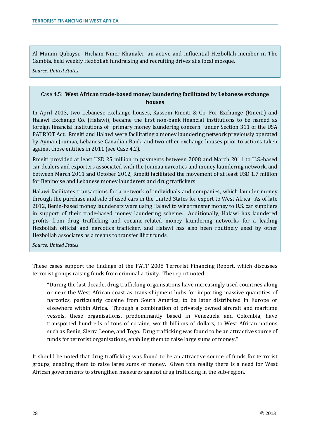Al Munim Qubaysi. Hicham Nmer Khanafer, an active and influential Hezbollah member in The Gambia, held weekly Hezbollah fundraising and recruiting drives at a local mosque.

*Source: United States*

## Case 4.5: **West African trade-based money laundering facilitated by Lebanese exchange houses**

In April 2013, two Lebanese exchange houses, Kassem Rmeiti & Co. For Exchange (Rmeiti) and Halawi Exchange Co. (Halawi), became the first non-bank financial institutions to be named as foreign financial institutions of "primary money laundering concern" under Section 311 of the USA PATRIOT Act. Rmeiti and Halawi were facilitating a money laundering network previously operated by Ayman Joumaa, Lebanese Canadian Bank, and two other exchange houses prior to actions taken against those entities in 2011 (see Case 4.2).

Rmeiti provided at least USD 25 million in payments between 2008 and March 2011 to U.S.-based car dealers and exporters associated with the Joumaa narcotics and money laundering network, and between March 2011 and October 2012, Rmeiti facilitated the movement of at least USD 1.7 million for Beninoise and Lebanese money launderers and drug traffickers.

Halawi facilitates transactions for a network of individuals and companies, which launder money through the purchase and sale of used cars in the United States for export to West Africa. As of late 2012, Benin-based money launderers were using Halawi to wire transfer money to U.S. car suppliers in support of their trade-based money laundering scheme. Additionally, Halawi has laundered profits from drug trafficking and cocaine-related money laundering networks for a leading Hezbollah official and narcotics trafficker, and Halawi has also been routinely used by other Hezbollah associates as a means to transfer illicit funds.

*Source: United States*

These cases support the findings of the FATF 2008 Terrorist Financing Report, which discusses terrorist groups raising funds from criminal activity. The report noted:

"During the last decade, drug trafficking organisations have increasingly used countries along or near the West African coast as trans-shipment hubs for importing massive quantities of narcotics, particularly cocaine from South America, to be later distributed in Europe or elsewhere within Africa. Through a combination of privately owned aircraft and maritime vessels, these organisations, predominantly based in Venezuela and Colombia, have transported hundreds of tons of cocaine, worth billions of dollars, to West African nations such as Benin, Sierra Leone, and Togo. Drug trafficking was found to be an attractive source of funds for terrorist organisations, enabling them to raise large sums of money."

It should be noted that drug trafficking was found to be an attractive source of funds for terrorist groups, enabling them to raise large sums of money. Given this reality there is a need for West African governments to strengthen measures against drug trafficking in the sub-region.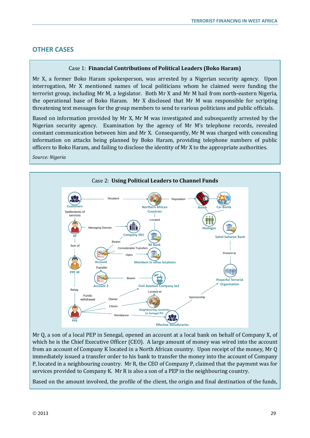# <span id="page-30-0"></span>**OTHER CASES**

## Case 1: **Financial Contributions of Political Leaders (Boko Haram)**

Mr X, a former Boko Haram spokesperson, was arrested by a Nigerian security agency. Upon interrogation, Mr X mentioned names of local politicians whom he claimed were funding the terrorist group, including Mr M, a legislator. Both Mr X and Mr M hail from north-eastern Nigeria, the operational base of Boko Haram. Mr X disclosed that Mr M was responsible for scripting threatening text messages for the group members to send to various politicians and public officials.

Based on information provided by Mr X, Mr M was investigated and subsequently arrested by the Nigerian security agency. Examination by the agency of Mr M's telephone records, revealed constant communication between him and Mr X. Consequently, Mr M was charged with concealing information on attacks being planned by Boko Haram, providing telephone numbers of public officers to Boko Haram, and failing to disclose the identity of Mr X to the appropriate authorities.

*Source: Nigeria*



Mr Q, a son of a local PEP in Senegal, opened an account at a local bank on behalf of Company X, of which he is the Chief Executive Officer (CEO). A large amount of money was wired into the account from an account of Company K located in a North African country. Upon receipt of the money, Mr Q immediately issued a transfer order to his bank to transfer the money into the account of Company P, located in a neighbouring country. Mr R, the CEO of Company P, claimed that the payment was for services provided to Company K. Mr R is also a son of a PEP in the neighbouring country.

Based on the amount involved, the profile of the client, the origin and final destination of the funds,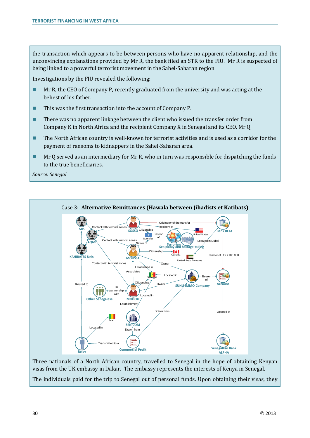the transaction which appears to be between persons who have no apparent relationship, and the unconvincing explanations provided by Mr R, the bank filed an STR to the FIU. Mr R is suspected of being linked to a powerful terrorist movement in the Sahel-Saharan region.

Investigations by the FIU revealed the following:

- **Mr R, the CEO of Company P, recently graduated from the university and was acting at the** behest of his father.
- This was the first transaction into the account of Company P.
- **There was no apparent linkage between the client who issued the transfer order from** Company K in North Africa and the recipient Company X in Senegal and its CEO, Mr Q.
- The North African country is well-known for terrorist activities and is used as a corridor for the payment of ransoms to kidnappers in the Sahel-Saharan area.
- $\blacksquare$  Mr Q served as an intermediary for Mr R, who in turn was responsible for dispatching the funds to the true beneficiaries.

*Source: Senegal*



Three nationals of a North African country, travelled to Senegal in the hope of obtaining Kenyan visas from the UK embassy in Dakar. The embassy represents the interests of Kenya in Senegal.

The individuals paid for the trip to Senegal out of personal funds. Upon obtaining their visas, they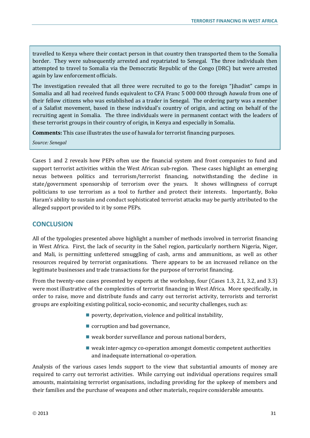travelled to Kenya where their contact person in that country then transported them to the Somalia border. They were subsequently arrested and repatriated to Senegal. The three individuals then attempted to travel to Somalia via the Democratic Republic of the Congo (DRC) but were arrested again by law enforcement officials.

The investigation revealed that all three were recruited to go to the foreign "Jihadist" camps in Somalia and all had received funds equivalent to CFA Franc 5 000 000 through *hawala* from one of their fellow citizens who was established as a trader in Senegal. The ordering party was a member of a Salafist movement, based in these individual's country of origin, and acting on behalf of the recruiting agent in Somalia. The three individuals were in permanent contact with the leaders of these terrorist groups in their country of origin, in Kenya and especially in Somalia.

**Comments:** This case illustrates the use of hawala for terrorist financing purposes.

*Source: Senegal*

Cases 1 and 2 reveals how PEPs often use the financial system and front companies to fund and support terrorist activities within the West African sub-region. These cases highlight an emerging nexus between politics and terrorism/terrorist financing, notwithstanding the decline in state/government sponsorship of terrorism over the years. It shows willingness of corrupt politicians to use terrorism as a tool to further and protect their interests. Importantly, Boko Haram's ability to sustain and conduct sophisticated terrorist attacks may be partly attributed to the alleged support provided to it by some PEPs.

# <span id="page-32-0"></span>**CONCLUSION**

All of the typologies presented above highlight a number of methods involved in terrorist financing in West Africa. First, the lack of security in the Sahel region, particularly northern Nigeria, Niger, and Mali, is permitting unfettered smuggling of cash, arms and ammunitions, as well as other resources required by terrorist organisations. There appears to be an increased reliance on the legitimate businesses and trade transactions for the purpose of terrorist financing.

From the twenty-one cases presented by experts at the workshop, four (Cases 1.3, 2.1, 3.2, and 3.3) were most illustrative of the complexities of terrorist financing in West Africa. More specifically, in order to raise, move and distribute funds and carry out terrorist activity, terrorists and terrorist groups are exploiting existing political, socio-economic, and security challenges, such as:

- **poverty, deprivation, violence and political instability,**
- corruption and bad governance,
- $\blacksquare$  weak border surveillance and porous national borders,
- weak inter-agency co-operation amongst domestic competent authorities and inadequate international co-operation.

Analysis of the various cases lends support to the view that substantial amounts of money are required to carry out terrorist activities. While carrying out individual operations requires small amounts, maintaining terrorist organisations, including providing for the upkeep of members and their families and the purchase of weapons and other materials, require considerable amounts.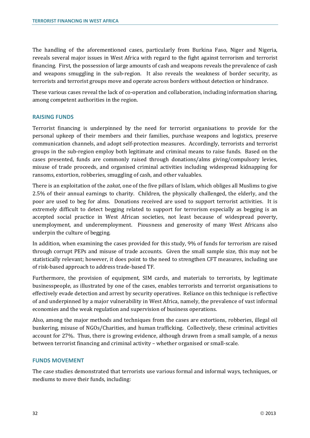The handling of the aforementioned cases, particularly from Burkina Faso, Niger and Nigeria, reveals several major issues in West Africa with regard to the fight against terrorism and terrorist financing. First, the possession of large amounts of cash and weapons reveals the prevalence of cash and weapons smuggling in the sub-region. It also reveals the weakness of border security, as terrorists and terrorist groups move and operate across borders without detection or hindrance.

These various cases reveal the lack of co-operation and collaboration, including information sharing, among competent authorities in the region.

#### **RAISING FUNDS**

Terrorist financing is underpinned by the need for terrorist organisations to provide for the personal upkeep of their members and their families, purchase weapons and logistics, preserve communication channels, and adopt self-protection measures. Accordingly, terrorists and terrorist groups in the sub-region employ both legitimate and criminal means to raise funds. Based on the cases presented, funds are commonly raised through donations/alms giving/compulsory levies, misuse of trade proceeds, and organised criminal activities including widespread kidnapping for ransoms, extortion, robberies, smuggling of cash, and other valuables.

There is an exploitation of the *zakat*, one of the five pillars of Islam, which obliges all Muslims to give 2.5% of their annual earnings to charity. Children, the physically challenged, the elderly, and the poor are used to beg for alms. Donations received are used to support terrorist activities. It is extremely difficult to detect begging related to support for terrorism especially as begging is an accepted social practice in West African societies, not least because of widespread poverty, unemployment, and underemployment. Piousness and generosity of many West Africans also underpin the culture of begging.

In addition, when examining the cases provided for this study, 9% of funds for terrorism are raised through corrupt PEPs and misuse of trade accounts. Given the small sample size, this may not be statistically relevant; however, it does point to the need to strengthen CFT measures, including use of risk-based approach to address trade-based TF.

Furthermore, the provision of equipment, SIM cards, and materials to terrorists, by legitimate businesspeople, as illustrated by one of the cases, enables terrorists and terrorist organisations to effectively evade detection and arrest by security operatives. Reliance on this technique is reflective of and underpinned by a major vulnerability in West Africa, namely, the prevalence of vast informal economies and the weak regulation and supervision of business operations.

Also, among the major methods and techniques from the cases are extortions, robberies, illegal oil bunkering, misuse of NGOs/Charities, and human trafficking. Collectively, these criminal activities account for 27%. Thus, there is growing evidence, although drawn from a small sample, of a nexus between terrorist financing and criminal activity – whether organised or small-scale.

#### **FUNDS MOVEMENT**

The case studies demonstrated that terrorists use various formal and informal ways, techniques, or mediums to move their funds, including: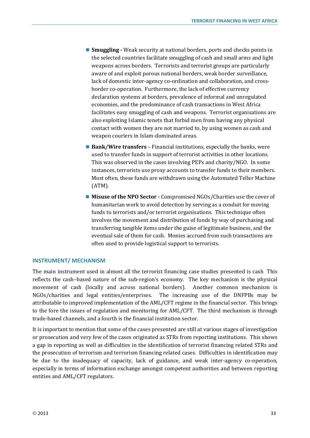- **Smuggling** Weak security at national borders, ports and checks points in the selected countries facilitate smuggling of cash and small arms and light weapons across borders. Terrorists and terrorist groups are particularly aware of and exploit porous national borders, weak border surveillance, lack of domestic inter-agency co-ordination and collaboration, and crossborder co-operation. Furthermore, the lack of effective currency declaration systems at borders, prevalence of informal and unregulated economies, and the predominance of cash transactions in West Africa facilitates easy smuggling of cash and weapons. Terrorist organisations are also exploiting Islamic tenets that forbid men from having any physical contact with women they are not married to, by using women as cash and weapon couriers in Islam-dominated areas.
- **Bank/Wire transfers** Financial institutions, especially the banks, were used to transfer funds in support of terrorist activities in other locations. This was observed in the cases involving PEPs and charity/NGO. In some instances, terrorists use proxy accounts to transfer funds to their members. Most often, these funds are withdrawn using the Automated Teller Machine (ATM).
- **Misuse of the NPO Sector -** Compromised NGOs/Charities use the cover of humanitarian work to avoid detection by serving as a conduit for moving funds to terrorists and/or terrorist organisations. This technique often involves the movement and distribution of funds by way of purchasing and transferring tangible items under the guise of legitimate business, and the eventual sale of them for cash. Monies accrued from such transactions are often used to provide logistical support to terrorists.

#### **INSTRUMENT/ MECHANISM**

The main instrument used in almost all the terrorist financing case studies presented is cash This reflects the cash–based nature of the sub-region's economy. The key mechanism is the physical movement of cash (locally and across national borders). Another common mechanism is NGOs/charities and legal entities/enterprises. The increasing use of the DNFPBs may be attributable to improved implementation of the AML/CFT regime in the financial sector. This brings to the fore the issues of regulation and monitoring for AML/CFT. The third mechanism is through trade-based channels, and a fourth is the financial institution sector.

It is important to mention that some of the cases presented are still at various stages of investigation or prosecution and very few of the cases originated as STRs from reporting institutions. This shows a gap in reporting as well as difficulties in the identification of terrorist financing related STRs and the prosecution of terrorism and terrorism financing related cases. Difficulties in identification may be due to the inadequacy of capacity, lack of guidance, and weak inter-agency co-operation, especially in terms of information exchange amongst competent authorities and between reporting entities and AML/CFT regulators.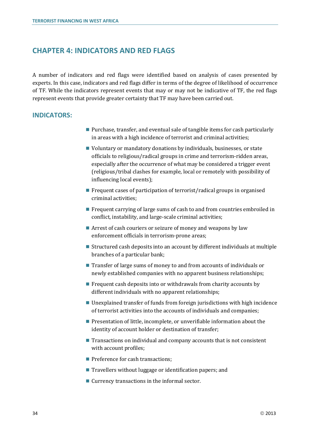# <span id="page-35-0"></span>**CHAPTER 4: INDICATORS AND RED FLAGS**

A number of indicators and red flags were identified based on analysis of cases presented by experts. In this case, indicators and red flags differ in terms of the degree of likelihood of occurrence of TF. While the indicators represent events that may or may not be indicative of TF, the red flags represent events that provide greater certainty that TF may have been carried out.

## <span id="page-35-1"></span>**INDICATORS:**

- Purchase, transfer, and eventual sale of tangible items for cash particularly in areas with a high incidence of terrorist and criminal activities;
- Voluntary or mandatory donations by individuals, businesses, or state officials to religious/radical groups in crime and terrorism-ridden areas, especially after the occurrence of what may be considered a trigger event (religious/tribal clashes for example, local or remotely with possibility of influencing local events);
- Frequent cases of participation of terrorist/radical groups in organised criminal activities;
- **Figure 1** Frequent carrying of large sums of cash to and from countries embroiled in conflict, instability, and large-scale criminal activities;
- Arrest of cash couriers or seizure of money and weapons by law enforcement officials in terrorism-prone areas;
- Structured cash deposits into an account by different individuals at multiple branches of a particular bank;
- Transfer of large sums of money to and from accounts of individuals or newly established companies with no apparent business relationships;
- **Figure 1** Frequent cash deposits into or withdrawals from charity accounts by different individuals with no apparent relationships;
- Unexplained transfer of funds from foreign jurisdictions with high incidence of terrorist activities into the accounts of individuals and companies;
- **Presentation of little, incomplete, or unverifiable information about the** identity of account holder or destination of transfer;
- $\blacksquare$  Transactions on individual and company accounts that is not consistent with account profiles;
- **Preference for cash transactions;**
- **T** Travellers without luggage or identification papers; and
- Currency transactions in the informal sector.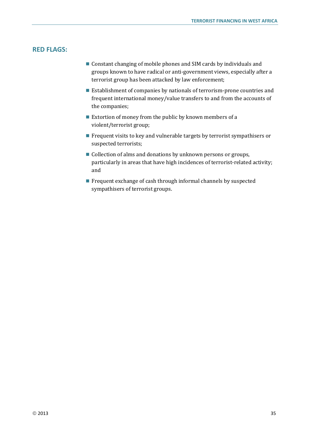# <span id="page-36-0"></span>**RED FLAGS:**

- Constant changing of mobile phones and SIM cards by individuals and groups known to have radical or anti-government views, especially after a terrorist group has been attacked by law enforcement;
- Establishment of companies by nationals of terrorism-prone countries and frequent international money/value transfers to and from the accounts of the companies;
- Extortion of money from the public by known members of a violent/terrorist group;
- **Figure 1** Frequent visits to key and vulnerable targets by terrorist sympathisers or suspected terrorists;
- Collection of alms and donations by unknown persons or groups, particularly in areas that have high incidences of terrorist-related activity; and
- **Figure 1** Frequent exchange of cash through informal channels by suspected sympathisers of terrorist groups.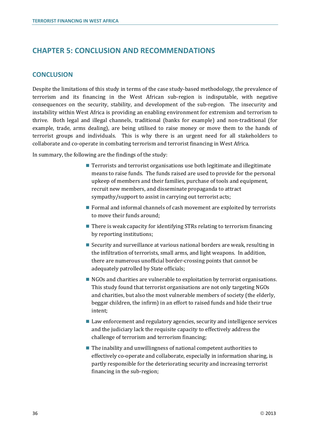# <span id="page-37-0"></span>**CHAPTER 5: CONCLUSION AND RECOMMENDATIONS**

# <span id="page-37-1"></span>**CONCLUSION**

Despite the limitations of this study in terms of the case study-based methodology, the prevalence of terrorism and its financing in the West African sub-region is indisputable, with negative consequences on the security, stability, and development of the sub-region. The insecurity and instability within West Africa is providing an enabling environment for extremism and terrorism to thrive. Both legal and illegal channels, traditional (banks for example) and non-traditional (for example, trade, arms dealing), are being utilised to raise money or move them to the hands of terrorist groups and individuals. This is why there is an urgent need for all stakeholders to collaborate and co-operate in combating terrorism and terrorist financing in West Africa.

In summary, the following are the findings of the study:

- **Terrorists and terrorist organisations use both legitimate and illegitimate** means to raise funds. The funds raised are used to provide for the personal upkeep of members and their families, purchase of tools and equipment, recruit new members, and disseminate propaganda to attract sympathy/support to assist in carrying out terrorist acts;
- Formal and informal channels of cash movement are exploited by terrorists to move their funds around;
- $\blacksquare$  There is weak capacity for identifying STRs relating to terrorism financing by reporting institutions;
- Security and surveillance at various national borders are weak, resulting in the infiltration of terrorists, small arms, and light weapons. In addition, there are numerous unofficial border-crossing points that cannot be adequately patrolled by State officials;
- NGOs and charities are vulnerable to exploitation by terrorist organisations. This study found that terrorist organisations are not only targeting NGOs and charities, but also the most vulnerable members of society (the elderly, beggar children, the infirm) in an effort to raised funds and hide their true intent;
- Law enforcement and regulatory agencies, security and intelligence services and the judiciary lack the requisite capacity to effectively address the challenge of terrorism and terrorism financing;
- $\blacksquare$  The inability and unwillingness of national competent authorities to effectively co-operate and collaborate, especially in information sharing, is partly responsible for the deteriorating security and increasing terrorist financing in the sub-region;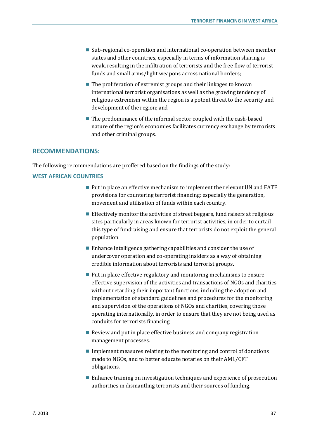- Sub-regional co-operation and international co-operation between member states and other countries, especially in terms of information sharing is weak, resulting in the infiltration of terrorists and the free flow of terrorist funds and small arms/light weapons across national borders;
- $\blacksquare$  The proliferation of extremist groups and their linkages to known international terrorist organisations as well as the growing tendency of religious extremism within the region is a potent threat to the security and development of the region; and
- The predominance of the informal sector coupled with the cash-based nature of the region's economies facilitates currency exchange by terrorists and other criminal groups.

#### <span id="page-38-0"></span>**RECOMMENDATIONS:**

The following recommendations are proffered based on the findings of the study:

#### **WEST AFRICAN COUNTRIES**

- Put in place an effective mechanism to implement the relevant UN and FATF provisions for countering terrorist financing; especially the generation, movement and utilisation of funds within each country.
- Effectively monitor the activities of street beggars, fund raisers at religious sites particularly in areas known for terrorist activities, in order to curtail this type of fundraising and ensure that terrorists do not exploit the general population.
- $\blacksquare$  Enhance intelligence gathering capabilities and consider the use of undercover operation and co-operating insiders as a way of obtaining credible information about terrorists and terrorist groups.
- $\blacksquare$  Put in place effective regulatory and monitoring mechanisms to ensure effective supervision of the activities and transactions of NGOs and charities without retarding their important functions, including the adoption and implementation of standard guidelines and procedures for the monitoring and supervision of the operations of NGOs and charities, covering those operating internationally, in order to ensure that they are not being used as conduits for terrorists financing.
- Review and put in place effective business and company registration management processes.
- $\blacksquare$  Implement measures relating to the monitoring and control of donations made to NGOs, and to better educate notaries on their AML/CFT obligations.
- Enhance training on investigation techniques and experience of prosecution authorities in dismantling terrorists and their sources of funding.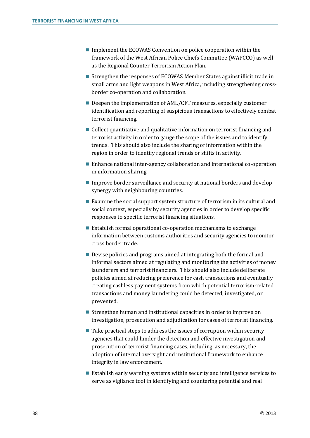- Implement the ECOWAS Convention on police cooperation within the framework of the West African Police Chiefs Committee (WAPCCO) as well as the Regional Counter Terrorism Action Plan.
- Strengthen the responses of ECOWAS Member States against illicit trade in small arms and light weapons in West Africa, including strengthening crossborder co-operation and collaboration.
- Deepen the implementation of AML/CFT measures, especially customer identification and reporting of suspicious transactions to effectively combat terrorist financing.
- Collect quantitative and qualitative information on terrorist financing and terrorist activity in order to gauge the scope of the issues and to identify trends. This should also include the sharing of information within the region in order to identify regional trends or shifts in activity.
- Enhance national inter-agency collaboration and international co-operation in information sharing.
- Improve border surveillance and security at national borders and develop synergy with neighbouring countries.
- Examine the social support system structure of terrorism in its cultural and social context, especially by security agencies in order to develop specific responses to specific terrorist financing situations.
- Establish formal operational co-operation mechanisms to exchange information between customs authorities and security agencies to monitor cross border trade.
- Devise policies and programs aimed at integrating both the formal and informal sectors aimed at regulating and monitoring the activities of money launderers and terrorist financiers. This should also include deliberate policies aimed at reducing preference for cash transactions and eventually creating cashless payment systems from which potential terrorism-related transactions and money laundering could be detected, investigated, or prevented.
- Strengthen human and institutional capacities in order to improve on investigation, prosecution and adjudication for cases of terrorist financing.
- $\blacksquare$  Take practical steps to address the issues of corruption within security agencies that could hinder the detection and effective investigation and prosecution of terrorist financing cases, including, as necessary, the adoption of internal oversight and institutional framework to enhance integrity in law enforcement.
- Establish early warning systems within security and intelligence services to serve as vigilance tool in identifying and countering potential and real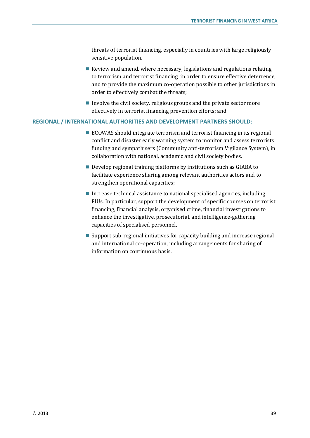threats of terrorist financing, especially in countries with large religiously sensitive population.

- Review and amend, where necessary, legislations and regulations relating to terrorism and terrorist financing in order to ensure effective deterrence, and to provide the maximum co-operation possible to other jurisdictions in order to effectively combat the threats;
- Involve the civil society, religious groups and the private sector more effectively in terrorist financing prevention efforts; and

## **REGIONAL / INTERNATIONAL AUTHORITIES AND DEVELOPMENT PARTNERS SHOULD:**

- ECOWAS should integrate terrorism and terrorist financing in its regional conflict and disaster early warning system to monitor and assess terrorists funding and sympathisers (Community anti-terrorism Vigilance System), in collaboration with national, academic and civil society bodies.
- Develop regional training platforms by institutions such as GIABA to facilitate experience sharing among relevant authorities actors and to strengthen operational capacities;
- Increase technical assistance to national specialised agencies, including FIUs. In particular, support the development of specific courses on terrorist financing, financial analysis, organised crime, financial investigations to enhance the investigative, prosecutorial, and intelligence-gathering capacities of specialised personnel.
- Support sub-regional initiatives for capacity building and increase regional and international co-operation, including arrangements for sharing of information on continuous basis.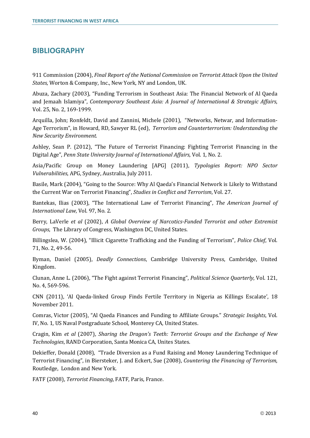# <span id="page-41-0"></span>**BIBLIOGRAPHY**

911 Commission (2004), *Final Report of the National Commission on Terrorist Attack Upon the United States*, Worton & Company, Inc., New York, NY and London, UK.

Abuza, Zachary (2003), "Funding Terrorism in Southeast Asia: The Financial Network of Al Qaeda and Jemaah Islamiya", *Contemporary Southeast Asia: A Journal of International & Strategic Affairs*, Vol. 25, No. 2, 169-1999.

Arquilla, John; Ronfeldt, David and Zannini, Michele (2001), "Networks, Netwar, and Information-Age Terrorism", in Howard, RD, Sawyer RL (ed), *Terrorism and Counterterrorism: Understanding the New Security Environment.* 

Ashley, Sean P. (2012), "The Future of Terrorist Financing: Fighting Terrorist Financing in the Digital Age", *Penn State University Journal of International Affairs*, Vol. 1, No. 2.

Asia/Pacific Group on Money Laundering [APG] (2011), *Typologies Report: NPO Sector Vulnerabilities*, APG, Sydney, Australia, July 2011.

Basile, Mark (2004), "Going to the Source: Why Al Qaeda's Financial Network is Likely to Withstand the Current War on Terrorist Financing", *Studies in Conflict and Terrorism*, Vol. 27.

Bantekas, Ilias (2003), "The International Law of Terrorist Financing", *The American Journal of International Law*, Vol. 97, No. 2.

Berry, LaVerle *et al* (2002), *A Global Overview of Narcotics-Funded Terrorist and other Extremist Groups*, The Library of Congress, Washington DC, United States.

Billingslea, W. (2004), "Illicit Cigarette Trafficking and the Funding of Terrorism", *Police Chief*, Vol. 71, No. 2, 49-56.

Byman, Daniel (2005), *Deadly Connections*, Cambridge University Press, Cambridge, United Kingdom.

Clunan, Anne L. (2006), "The Fight against Terrorist Financing", *Political Science Quarterly*, Vol. 121, No. 4, 569-596.

CNN (2011), 'Al Qaeda-linked Group Finds Fertile Territory in Nigeria as Killings Escalate', 18 November 2011.

Comras, Victor (2005), "Al Qaeda Finances and Funding to Affiliate Groups." *Strategic Insights*, Vol. IV, No. 1, US Naval Postgraduate School, Monterey CA, United States.

Cragin, Kim *et al* (2007), *Sharing the Dragon's Teeth: Terrorist Groups and the Exchange of New Technologies*, RAND Corporation, Santa Monica CA, Unites States.

Dekieffer, Donald (2008), "Trade Diversion as a Fund Raising and Money Laundering Technique of Terrorist Financing", in Biersteker, J. and Eckert, Sue (2008), *Countering the Financing of Terrorism*, Routledge, London and New York.

FATF (2008), *Terrorist Financing*, FATF, Paris, France.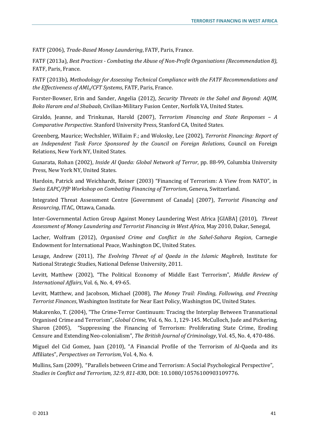FATF (2006), *Trade-Based Money Laundering*, FATF, Paris, France.

FATF (2013a), *Best Practices - Combating the Abuse of Non-Profit Organisations (Recommendation 8),* FATF, Paris, France.

FATF (2013b), *Methodology for Assessing Technical Compliance with the FATF Recommendations and the Effectiveness of AML/CFT Systems*, FATF, Paris, France.

Forster-Bowser, Erin and Sander, Angelia (2012), *Security Threats in the Sahel and Beyond: AQIM, Boko Haram and al Shabaab*, Civilian-Military Fusion Center, Norfolk VA, United States.

Giraldo, Jeanne, and Trinkunas, Harold (2007), *Terrorism Financing and State Responses – A Comparative Perspective*. Stanford University Press, Stanford CA, United States.

Greenberg, Maurice; Wechshler, Willaim F.; and Wolosky, Lee (2002), *Terrorist Financing: Report of an Independent Task Force Sponsored by the Council on Foreign Relations*, Council on Foreign Relations, New York NY, United States.

Gunarata, Rohan (2002), *Inside Al Qaeda: Global Network of Terror*, pp. 88-99, Columbia University Press, New York NY, United States.

Hardoin, Patrick and Weichhardt, Reiner (2003) "Financing of Terrorism: A View from NATO", in *Swiss EAPC/PfP Workshop on Combating Financing of Terrorism*, Geneva, Switzerland.

Integrated Threat Assessment Centre [Government of Canada] (2007), *Terrorist Financing and Resourcing*, ITAC, Ottawa, Canada.

Inter-Governmental Action Group Against Money Laundering West Africa [GIABA] (2010), *Threat Assessment of Money Laundering and Terrorist Financing in West Africa*, May 2010, Dakar, Senegal,

Lacher, Wolfram (2012), *Organised Crime and Conflict in the Sahel-Sahara Region*, Carnegie Endowment for International Peace, Washington DC, United States.

Lesage, Andrew (2011), *The Evolving Threat of al Qaeda in the Islamic Maghreb*, Institute for National Strategic Studies, National Defense University, 2011.

Levitt, Matthew (2002), "The Political Economy of Middle East Terrorism", *Middle Review of International Affairs*, Vol. 6, No. 4, 49-65.

Levitt, Matthew, and Jacobson, Michael (2008), *The Money Trail: Finding, Following, and Freezing Terrorist Finances*, Washington Institute for Near East Policy, Washington DC, United States.

Makarenko, T. (2004), "The Crime-Terror Continuum: Tracing the Interplay Between Transnational Organised Crime and Terrorism", *Global Crime*, Vol. 6, No. 1, 129-145. McCulloch, Jude and Pickering, Sharon (2005), "Suppressing the Financing of Terrorism: Proliferating State Crime, Eroding Censure and Extending Neo-colonialism", *The British Journal of Criminology*, Vol. 45, No. 4, 470-486.

Miguel del Cid Gomez, Juan (2010), "A Financial Profile of the Terrorism of Al-Qaeda and its Affiliates", *Perspectives on Terrorism*, Vol. 4, No. 4.

Mullins, Sam (2009), "Parallels between Crime and Terrorism: A Social Psychological Perspective", *Studies in Conflict and Terrorism, 32:9, 811-83*0, DOI: 10.1080/10576100903109776.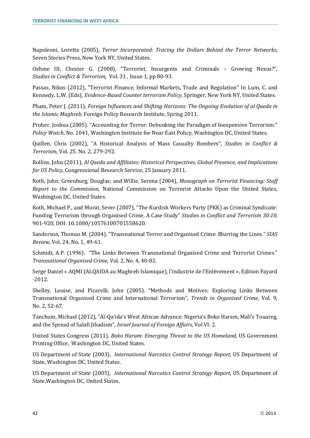Napoleoni, Loretta (2005), *Terror Incorporated: Tracing the Dollars Behind the Terror Networks*, Seven Stories Press, New York NY, United States.

Oehme III, Chester G. (2008), "Terrorist, Insurgents and Criminals – Growing Nexus?", *Studies in Conflict & Terrorism*, Vol. 31 , Issue 1, pp 80-93.

Passas, Nikos (2012), "Terrorist Finance, Informal Markets, Trade and Regulation" In Lum, C. and Kennedy, L.W. (Eds), *Evidence-Based Counter terrorism Policy*, Springer, New York NY, United States.

Pham, Peter J. (2011), *Foreign Influences and Shifting Horizons: The Ongoing Evolution of al Qaeda in the Islamic Maghreb*, Foreign Policy Research Institute, Spring 2011.

Prober, Joshua (2005). "Accounting for Terror: Debunking the Paradigm of Inexpensive Terrorism." *Policy Watch*, No. 1041, Washington Institute for Near East Policy, Washington DC, United States.

Quillen, Chris (2002), "A Historical Analysis of Mass Casualty Bombers", *Studies in Conflict & Terrorism*, Vol. 25. No. 2, 279-292.

Rollins, John (2011), *Al Qaeda and Affiliates: Historical Perspectives, Global Presence, and Implications for US Policy*, Congressional Research Service, 25 January 2011.

Roth, John; Greenburg, Douglas; and Willie, Serena (2004), *Monograph on Terrorist Financing: Staff Report to the Commission*, National Commission on Terrorist Attacks Upon the United States, Washington DC, United States.

Roth, Michael P., and Murat, Sever (2007), "The Kurdish Workers Party (PKK) as Criminal Syndicate: Funding Terrorism through Organised Crime, A Case Study" *Studies in Conflict and Terrorism 30:10,*  901-920*,* DOI: 10.1080/10576100701558620.

Sanderson, Thomas M. (2004). "Transnational Terror and Organised Crime: Blurring the Lines." *SIAS Review*, Vol. 24, No. 1, 49-61.

Schmidt, A.P. (1996). "The Links Between Transnational Organised Crime and Terrorist Crimes." *Transnational Organised Crime*, Vol. 2, No. 4, 40-82.

Serge Daniel « AQMI (ALQAIDA au Maghreb Islamique), l'industrie de l'Enlèvement », Edition Fayard -2012.

Shelley, Louise, and Picarelli, John (2005). "Methods and Motives: Exploring Links Between Transnational Organised Crime and International Terrorism", *Trends in Organised Crime*, Vol. 9, No. 2, 52-67.

Tanchum, Michael (2012), "Al-Qa'ida's West African Advance: Nigeria's Boko Haram, Mali's Touareg, and the Spread of Salafi Jihadism", *Israel Journal of Foreign Affairs*, Vol VI: 2.

United States Congress (2011), *Boko Haram: Emerging Threat to the US Homeland*, US Government Printing Office, Washington DC, United States.

US Department of State (2003), *International Narcotics Control Strategy Report*, US Department of State, Washington DC, United States.

US Department of State (2005), *International Narcotics Control Strategy Report*, US Department of State,Washington DC, United States.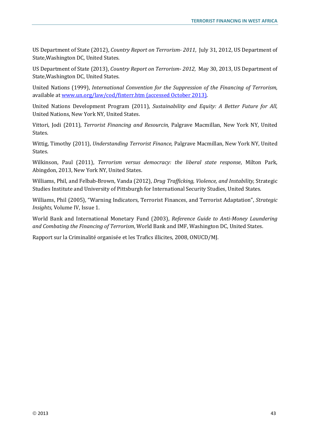US Department of State (2012), *Country Report on Terrorism- 2011*, July 31, 2012, US Department of State,Washington DC, United States.

US Department of State (2013), *Country Report on Terrorism- 2012,* May 30, 2013, US Department of State,Washington DC, United States.

United Nations (1999), *International Convention for the Suppression of the Financing of Terrorism*, available a[t www.un.org/law/cod/finterr.htm](http://www.un.org/law/cod/finterr.htm) (accessed October 2013).

United Nations Development Program (2011), *Sustainability and Equity: A Better Future for All*, United Nations, New York NY, United States.

Vittori, Jodi (2011), *Terrorist Financing and Resourcin,* Palgrave Macmillan, New York NY, United States.

Wittig, Timothy (2011), *Understanding Terrorist Finance*, Palgrave Macmillan, New York NY, United States.

Wilkinson, Paul (2011), *Terrorism versus democracy: the liberal state response*, Milton Park, Abingdon, 2013, New York NY, United States.

Williams, Phil, and Felbab-Brown, Vanda (2012), *Drug Trafficking, Violence, and Instability,* Strategic Studies Institute and University of Pittsburgh for International Security Studies, United States.

Williams, Phil (2005), "Warning Indicators, Terrorist Finances, and Terrorist Adaptation", *Strategic Insights*, Volume IV, Issue 1.

World Bank and International Monetary Fund (2003), *Reference Guide to Anti-Money Laundering and Combating the Financing of Terrorism*, World Bank and IMF, Washington DC, United States.

Rapport sur la Criminalité organisée et les Trafics illicites, 2008, ONUCD/MJ.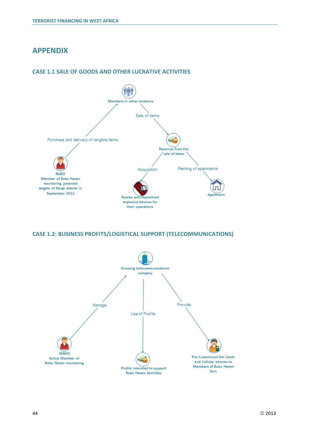# <span id="page-45-0"></span>**APPENDIX**



#### **CASE 1.1 SALE OF GOODS AND OTHER LUCRATIVE ACTIVITIES**

**CASE 1.2: BUSINESS PROFITS/LOGISTICAL SUPPORT (TELECOMMUNICATIONS)**

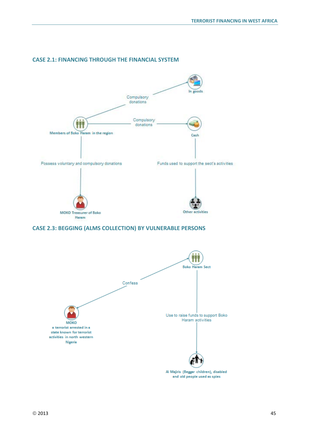

#### **CASE 2.1: FINANCING THROUGH THE FINANCIAL SYSTEM**

#### **CASE 2.3: BEGGING (ALMS COLLECTION) BY VULNERABLE PERSONS**